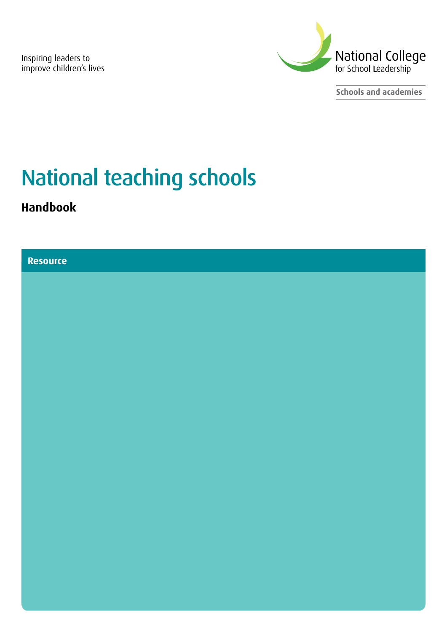Inspiring leaders to improve children's lives



**Schools and academies**

# National teaching schools

**Handbook**

#### **Resource**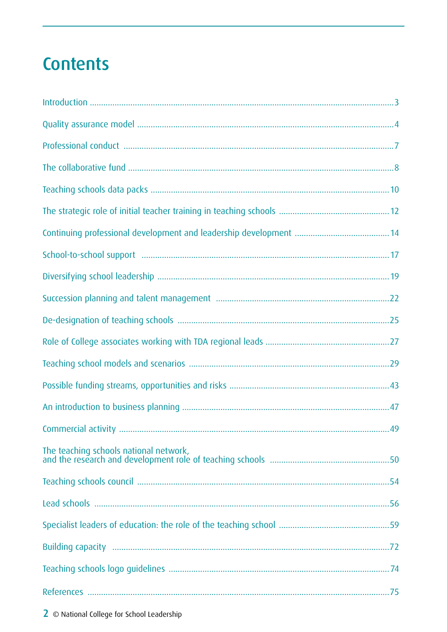# **Contents**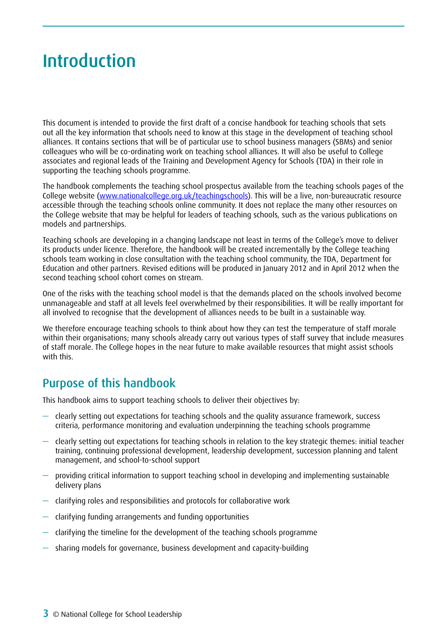# <span id="page-2-0"></span>Introduction

This document is intended to provide the first draft of a concise handbook for teaching schools that sets out all the key information that schools need to know at this stage in the development of teaching school alliances. It contains sections that will be of particular use to school business managers (SBMs) and senior colleagues who will be co-ordinating work on teaching school alliances. It will also be useful to College associates and regional leads of the Training and Development Agency for Schools (TDA) in their role in supporting the teaching schools programme.

The handbook complements the teaching school prospectus available from the teaching schools pages of the College website (www.nationalcollege.org.uk/teachingschools). This will be a live, non-bureaucratic resource accessible through the teaching schools online community. It does not replace the many other resources on the College website that may be helpful for leaders of teaching schools, such as the various publications on models and partnerships.

Teaching schools are developing in a changing landscape not least in terms of the College's move to deliver its products under licence. Therefore, the handbook will be created incrementally by the College teaching schools team working in close consultation with the teaching school community, the TDA, Department for Education and other partners. Revised editions will be produced in January 2012 and in April 2012 when the second teaching school cohort comes on stream.

One of the risks with the teaching school model is that the demands placed on the schools involved become unmanageable and staff at all levels feel overwhelmed by their responsibilities. It will be really important for all involved to recognise that the development of alliances needs to be built in a sustainable way.

We therefore encourage teaching schools to think about how they can test the temperature of staff morale within their organisations; many schools already carry out various types of staff survey that include measures of staff morale. The College hopes in the near future to make available resources that might assist schools with this.

## Purpose of this handbook

This handbook aims to support teaching schools to deliver their objectives by:

- clearly setting out expectations for teaching schools and the quality assurance framework, success criteria, performance monitoring and evaluation underpinning the teaching schools programme
- clearly setting out expectations for teaching schools in relation to the key strategic themes: initial teacher training, continuing professional development, leadership development, succession planning and talent management, and school-to-school support
- providing critical information to support teaching school in developing and implementing sustainable delivery plans
- clarifying roles and responsibilities and protocols for collaborative work
- clarifying funding arrangements and funding opportunities
- clarifying the timeline for the development of the teaching schools programme
- sharing models for governance, business development and capacity-building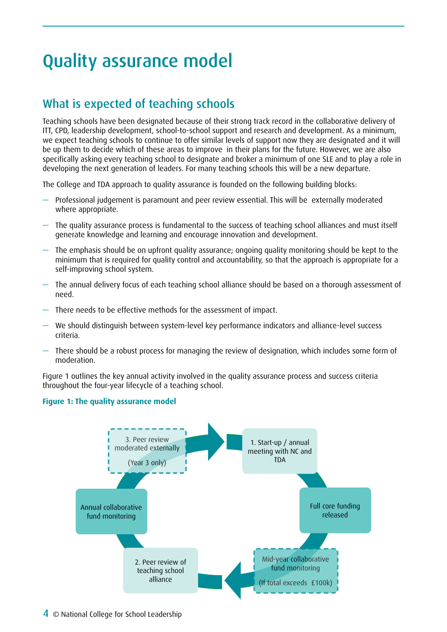# <span id="page-3-0"></span>Quality assurance model

## What is expected of teaching schools

Teaching schools have been designated because of their strong track record in the collaborative delivery of ITT, CPD, leadership development, school-to-school support and research and development. As a minimum, we expect teaching schools to continue to offer similar levels of support now they are designated and it will be up them to decide which of these areas to improve in their plans for the future. However, we are also specifically asking every teaching school to designate and broker a minimum of one SLE and to play a role in developing the next generation of leaders. For many teaching schools this will be a new departure.

The College and TDA approach to quality assurance is founded on the following building blocks:

- Professional judgement is paramount and peer review essential. This will be externally moderated where appropriate.
- The quality assurance process is fundamental to the success of teaching school alliances and must itself generate knowledge and learning and encourage innovation and development.
- The emphasis should be on upfront quality assurance; ongoing quality monitoring should be kept to the minimum that is required for quality control and accountability, so that the approach is appropriate for a self-improving school system.
- The annual delivery focus of each teaching school alliance should be based on a thorough assessment of need.
- There needs to be effective methods for the assessment of impact.
- We should distinguish between system-level key performance indicators and alliance-level success criteria.
- There should be a robust process for managing the review of designation, which includes some form of moderation.

Figure 1 outlines the key annual activity involved in the quality assurance process and success criteria throughout the four-year lifecycle of a teaching school.

#### **Figure 1: The quality assurance model**

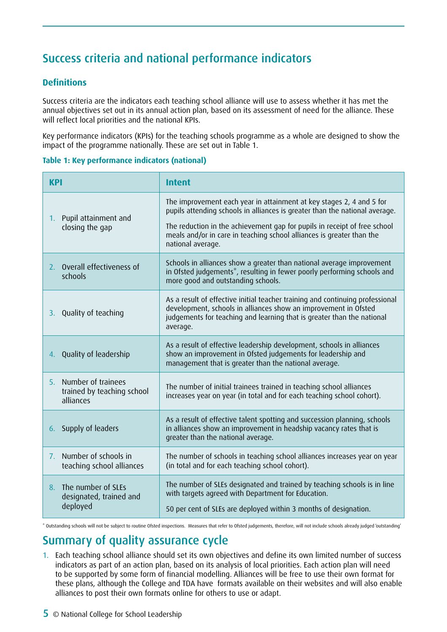## Success criteria and national performance indicators

#### **Definitions**

Success criteria are the indicators each teaching school alliance will use to assess whether it has met the annual objectives set out in its annual action plan, based on its assessment of need for the alliance. These will reflect local priorities and the national KPIs.

Key performance indicators (KPIs) for the teaching schools programme as a whole are designed to show the impact of the programme nationally. These are set out in Table 1.

#### **Table 1: Key performance indicators (national)**

| <b>KPI</b>                                                                          | <b>Intent</b>                                                                                                                                                                                                                                                                                                                  |  |  |  |
|-------------------------------------------------------------------------------------|--------------------------------------------------------------------------------------------------------------------------------------------------------------------------------------------------------------------------------------------------------------------------------------------------------------------------------|--|--|--|
| 1. Pupil attainment and<br>closing the gap                                          | The improvement each year in attainment at key stages 2, 4 and 5 for<br>pupils attending schools in alliances is greater than the national average.<br>The reduction in the achievement gap for pupils in receipt of free school<br>meals and/or in care in teaching school alliances is greater than the<br>national average. |  |  |  |
| 2. Overall effectiveness of<br>schools                                              | Schools in alliances show a greater than national average improvement<br>in Ofsted judgements*, resulting in fewer poorly performing schools and<br>more good and outstanding schools.                                                                                                                                         |  |  |  |
| Quality of teaching<br>3.                                                           | As a result of effective initial teacher training and continuing professional<br>development, schools in alliances show an improvement in Ofsted<br>judgements for teaching and learning that is greater than the national<br>average.                                                                                         |  |  |  |
| Quality of leadership<br>4.                                                         | As a result of effective leadership development, schools in alliances<br>show an improvement in Ofsted judgements for leadership and<br>management that is greater than the national average.                                                                                                                                  |  |  |  |
| Number of trainees<br>5.<br>trained by teaching school<br>alliances                 | The number of initial trainees trained in teaching school alliances<br>increases year on year (in total and for each teaching school cohort).                                                                                                                                                                                  |  |  |  |
| 6. Supply of leaders                                                                | As a result of effective talent spotting and succession planning, schools<br>in alliances show an improvement in headship vacancy rates that is<br>greater than the national average.                                                                                                                                          |  |  |  |
| Number of schools in<br>$7_{\scriptscriptstyle{\sim}}$<br>teaching school alliances | The number of schools in teaching school alliances increases year on year<br>(in total and for each teaching school cohort).                                                                                                                                                                                                   |  |  |  |
| The number of SLEs<br>8.<br>designated, trained and<br>deployed                     | The number of SLEs designated and trained by teaching schools is in line<br>with targets agreed with Department for Education.<br>50 per cent of SLEs are deployed within 3 months of designation.                                                                                                                             |  |  |  |

\* Outstanding schools will not be subject to routine Ofsted inspections. Measures that refer to Ofsted judgements, therefore, will not include schools already judged 'outstanding'

### Summary of quality assurance cycle

1. Each teaching school alliance should set its own objectives and define its own limited number of success indicators as part of an action plan, based on its analysis of local priorities. Each action plan will need to be supported by some form of financial modelling. Alliances will be free to use their own format for these plans, although the College and TDA have formats available on their websites and will also enable alliances to post their own formats online for others to use or adapt.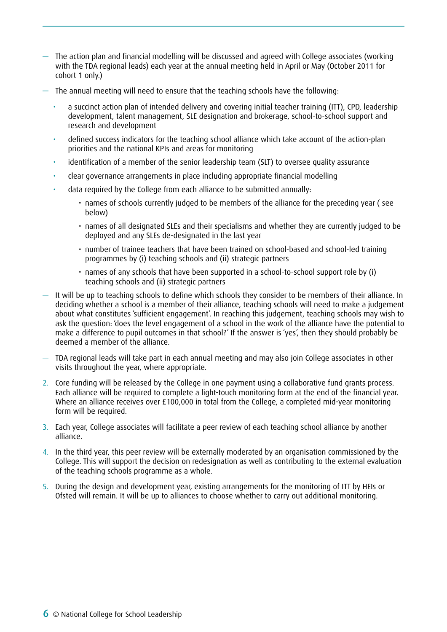- The action plan and financial modelling will be discussed and agreed with College associates (working with the TDA regional leads) each year at the annual meeting held in April or May (October 2011 for cohort 1 only.)
- The annual meeting will need to ensure that the teaching schools have the following:
	- a succinct action plan of intended delivery and covering initial teacher training (ITT), CPD, leadership development, talent management, SLE designation and brokerage, school-to-school support and research and development
	- defined success indicators for the teaching school alliance which take account of the action-plan priorities and the national KPIs and areas for monitoring
	- identification of a member of the senior leadership team (SLT) to oversee quality assurance
	- clear governance arrangements in place including appropriate financial modelling
	- data required by the College from each alliance to be submitted annually:
		- names of schools currently judged to be members of the alliance for the preceding year (see below)
		- • names of all designated SLEs and their specialisms and whether they are currently judged to be deployed and any SLEs de-designated in the last year
		- • number of trainee teachers that have been trained on school-based and school-led training programmes by (i) teaching schools and (ii) strategic partners
		- names of any schools that have been supported in a school-to-school support role by (i) teaching schools and (ii) strategic partners
- It will be up to teaching schools to define which schools they consider to be members of their alliance. In deciding whether a school is a member of their alliance, teaching schools will need to make a judgement about what constitutes 'sufficient engagement'. In reaching this judgement, teaching schools may wish to ask the question: 'does the level engagement of a school in the work of the alliance have the potential to make a difference to pupil outcomes in that school?' If the answer is 'yes', then they should probably be deemed a member of the alliance.
- TDA regional leads will take part in each annual meeting and may also join College associates in other visits throughout the year, where appropriate.
- 2. Core funding will be released by the College in one payment using a collaborative fund grants process. Each alliance will be required to complete a light-touch monitoring form at the end of the financial year. Where an alliance receives over £100,000 in total from the College, a completed mid-year monitoring form will be required.
- 3. Each year, College associates will facilitate a peer review of each teaching school alliance by another alliance.
- 4. In the third year, this peer review will be externally moderated by an organisation commissioned by the College. This will support the decision on redesignation as well as contributing to the external evaluation of the teaching schools programme as a whole.
- 5. During the design and development year, existing arrangements for the monitoring of ITT by HEIs or Ofsted will remain. It will be up to alliances to choose whether to carry out additional monitoring.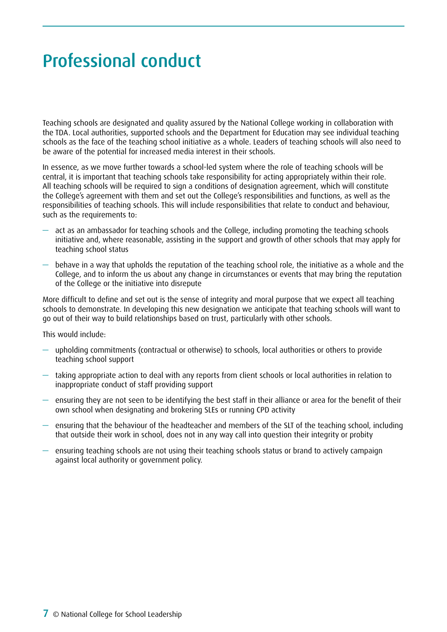# <span id="page-6-0"></span>Professional conduct

Teaching schools are designated and quality assured by the National College working in collaboration with the TDA. Local authorities, supported schools and the Department for Education may see individual teaching schools as the face of the teaching school initiative as a whole. Leaders of teaching schools will also need to be aware of the potential for increased media interest in their schools.

In essence, as we move further towards a school-led system where the role of teaching schools will be central, it is important that teaching schools take responsibility for acting appropriately within their role. All teaching schools will be required to sign a conditions of designation agreement, which will constitute the College's agreement with them and set out the College's responsibilities and functions, as well as the responsibilities of teaching schools. This will include responsibilities that relate to conduct and behaviour, such as the requirements to:

- act as an ambassador for teaching schools and the College, including promoting the teaching schools initiative and, where reasonable, assisting in the support and growth of other schools that may apply for teaching school status
- behave in a way that upholds the reputation of the teaching school role, the initiative as a whole and the College, and to inform the us about any change in circumstances or events that may bring the reputation of the College or the initiative into disrepute

More difficult to define and set out is the sense of integrity and moral purpose that we expect all teaching schools to demonstrate. In developing this new designation we anticipate that teaching schools will want to go out of their way to build relationships based on trust, particularly with other schools.

This would include:

- upholding commitments (contractual or otherwise) to schools, local authorities or others to provide teaching school support
- taking appropriate action to deal with any reports from client schools or local authorities in relation to inappropriate conduct of staff providing support
- ensuring they are not seen to be identifying the best staff in their alliance or area for the benefit of their own school when designating and brokering SLEs or running CPD activity
- ensuring that the behaviour of the headteacher and members of the SLT of the teaching school, including that outside their work in school, does not in any way call into question their integrity or probity
- ensuring teaching schools are not using their teaching schools status or brand to actively campaign against local authority or government policy.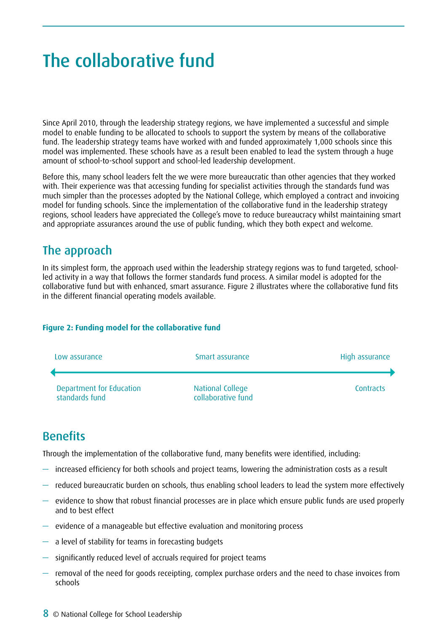# <span id="page-7-0"></span>The collaborative fund

Since April 2010, through the leadership strategy regions, we have implemented a successful and simple model to enable funding to be allocated to schools to support the system by means of the collaborative fund. The leadership strategy teams have worked with and funded approximately 1,000 schools since this model was implemented. These schools have as a result been enabled to lead the system through a huge amount of school-to-school support and school-led leadership development.

Before this, many school leaders felt the we were more bureaucratic than other agencies that they worked with. Their experience was that accessing funding for specialist activities through the standards fund was much simpler than the processes adopted by the National College, which employed a contract and invoicing model for funding schools. Since the implementation of the collaborative fund in the leadership strategy regions, school leaders have appreciated the College's move to reduce bureaucracy whilst maintaining smart and appropriate assurances around the use of public funding, which they both expect and welcome.

### The approach

In its simplest form, the approach used within the leadership strategy regions was to fund targeted, schoolled activity in a way that follows the former standards fund process. A similar model is adopted for the collaborative fund but with enhanced, smart assurance. Figure 2 illustrates where the collaborative fund fits in the different financial operating models available.

#### **Figure 2: Funding model for the collaborative fund**



### **Benefits**

Through the implementation of the collaborative fund, many benefits were identified, including:

- increased efficiency for both schools and project teams, lowering the administration costs as a result
- reduced bureaucratic burden on schools, thus enabling school leaders to lead the system more effectively
- evidence to show that robust financial processes are in place which ensure public funds are used properly and to best effect
- evidence of a manageable but effective evaluation and monitoring process
- a level of stability for teams in forecasting budgets
- significantly reduced level of accruals required for project teams
- removal of the need for goods receipting, complex purchase orders and the need to chase invoices from schools
- 8 © National College for School Leadership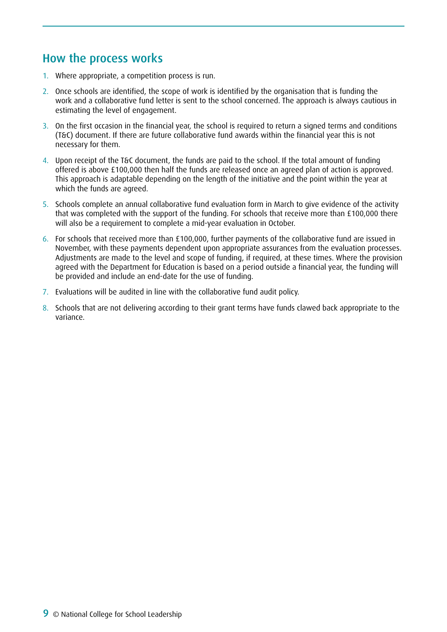### How the process works

- 1. Where appropriate, a competition process is run.
- 2. Once schools are identified, the scope of work is identified by the organisation that is funding the work and a collaborative fund letter is sent to the school concerned. The approach is always cautious in estimating the level of engagement.
- 3. On the first occasion in the financial year, the school is required to return a signed terms and conditions (T&C) document. If there are future collaborative fund awards within the financial year this is not necessary for them.
- 4. Upon receipt of the T&C document, the funds are paid to the school. If the total amount of funding offered is above £100,000 then half the funds are released once an agreed plan of action is approved. This approach is adaptable depending on the length of the initiative and the point within the year at which the funds are agreed.
- 5. Schools complete an annual collaborative fund evaluation form in March to give evidence of the activity that was completed with the support of the funding. For schools that receive more than £100,000 there will also be a requirement to complete a mid-year evaluation in October.
- 6. For schools that received more than £100,000, further payments of the collaborative fund are issued in November, with these payments dependent upon appropriate assurances from the evaluation processes. Adjustments are made to the level and scope of funding, if required, at these times. Where the provision agreed with the Department for Education is based on a period outside a financial year, the funding will be provided and include an end-date for the use of funding.
- 7. Evaluations will be audited in line with the collaborative fund audit policy.
- 8. Schools that are not delivering according to their grant terms have funds clawed back appropriate to the variance.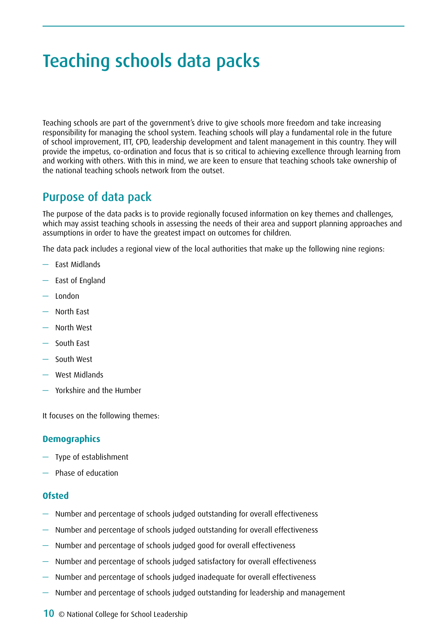# <span id="page-9-0"></span>Teaching schools data packs

Teaching schools are part of the government's drive to give schools more freedom and take increasing responsibility for managing the school system. Teaching schools will play a fundamental role in the future of school improvement, ITT, CPD, leadership development and talent management in this country. They will provide the impetus, co-ordination and focus that is so critical to achieving excellence through learning from and working with others. With this in mind, we are keen to ensure that teaching schools take ownership of the national teaching schools network from the outset.

### Purpose of data pack

The purpose of the data packs is to provide regionally focused information on key themes and challenges, which may assist teaching schools in assessing the needs of their area and support planning approaches and assumptions in order to have the greatest impact on outcomes for children.

The data pack includes a regional view of the local authorities that make up the following nine regions:

- East Midlands
- East of England
- London
- North East
- North West
- South East
- South West
- West Midlands
- Yorkshire and the Humber

It focuses on the following themes:

#### **Demographics**

- Type of establishment
- Phase of education

#### **Ofsted**

- Number and percentage of schools judged outstanding for overall effectiveness
- Number and percentage of schools judged outstanding for overall effectiveness
- Number and percentage of schools judged good for overall effectiveness
- Number and percentage of schools judged satisfactory for overall effectiveness
- Number and percentage of schools judged inadequate for overall effectiveness
- Number and percentage of schools judged outstanding for leadership and management
- 10 © National College for School Leadership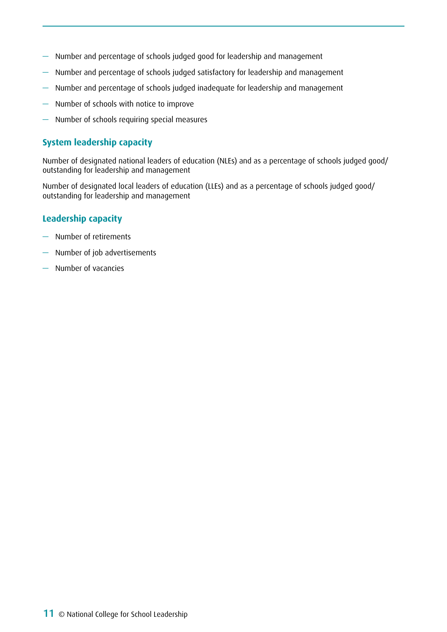- Number and percentage of schools judged good for leadership and management
- Number and percentage of schools judged satisfactory for leadership and management
- Number and percentage of schools judged inadequate for leadership and management
- Number of schools with notice to improve
- Number of schools requiring special measures

#### **System leadership capacity**

Number of designated national leaders of education (NLEs) and as a percentage of schools judged good/ outstanding for leadership and management

Number of designated local leaders of education (LLEs) and as a percentage of schools judged good/ outstanding for leadership and management

#### **Leadership capacity**

- Number of retirements
- Number of job advertisements
- Number of vacancies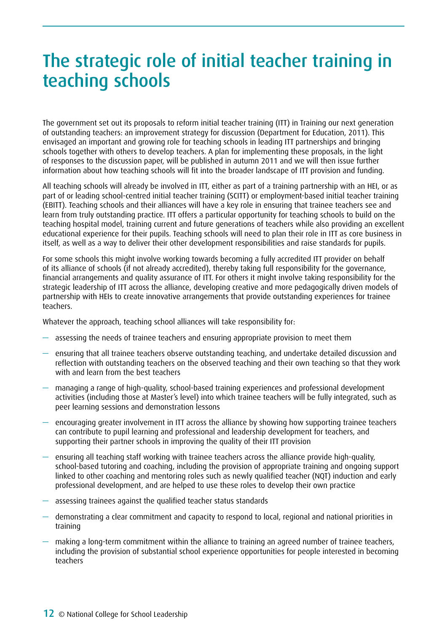# <span id="page-11-0"></span>The strategic role of initial teacher training in teaching schools

The government set out its proposals to reform initial teacher training (ITT) in Training our next generation of outstanding teachers: an improvement strategy for discussion (Department for Education, 2011). This envisaged an important and growing role for teaching schools in leading ITT partnerships and bringing schools together with others to develop teachers. A plan for implementing these proposals, in the light of responses to the discussion paper, will be published in autumn 2011 and we will then issue further information about how teaching schools will fit into the broader landscape of ITT provision and funding.

All teaching schools will already be involved in ITT, either as part of a training partnership with an HEI, or as part of or leading school-centred initial teacher training (SCITT) or employment-based initial teacher training (EBITT). Teaching schools and their alliances will have a key role in ensuring that trainee teachers see and learn from truly outstanding practice. ITT offers a particular opportunity for teaching schools to build on the teaching hospital model, training current and future generations of teachers while also providing an excellent educational experience for their pupils. Teaching schools will need to plan their role in ITT as core business in itself, as well as a way to deliver their other development responsibilities and raise standards for pupils.

For some schools this might involve working towards becoming a fully accredited ITT provider on behalf of its alliance of schools (if not already accredited), thereby taking full responsibility for the governance, financial arrangements and quality assurance of ITT. For others it might involve taking responsibility for the strategic leadership of ITT across the alliance, developing creative and more pedagogically driven models of partnership with HEIs to create innovative arrangements that provide outstanding experiences for trainee teachers.

Whatever the approach, teaching school alliances will take responsibility for:

- assessing the needs of trainee teachers and ensuring appropriate provision to meet them
- ensuring that all trainee teachers observe outstanding teaching, and undertake detailed discussion and reflection with outstanding teachers on the observed teaching and their own teaching so that they work with and learn from the best teachers
- managing a range of high-quality, school-based training experiences and professional development activities (including those at Master's level) into which trainee teachers will be fully integrated, such as peer learning sessions and demonstration lessons
- encouraging greater involvement in ITT across the alliance by showing how supporting trainee teachers can contribute to pupil learning and professional and leadership development for teachers, and supporting their partner schools in improving the quality of their ITT provision
- $-$  ensuring all teaching staff working with trainee teachers across the alliance provide high-quality. school-based tutoring and coaching, including the provision of appropriate training and ongoing support linked to other coaching and mentoring roles such as newly qualified teacher (NQT) induction and early professional development, and are helped to use these roles to develop their own practice
- assessing trainees against the qualified teacher status standards
- demonstrating a clear commitment and capacity to respond to local, regional and national priorities in training
- making a long-term commitment within the alliance to training an agreed number of trainee teachers, including the provision of substantial school experience opportunities for people interested in becoming teachers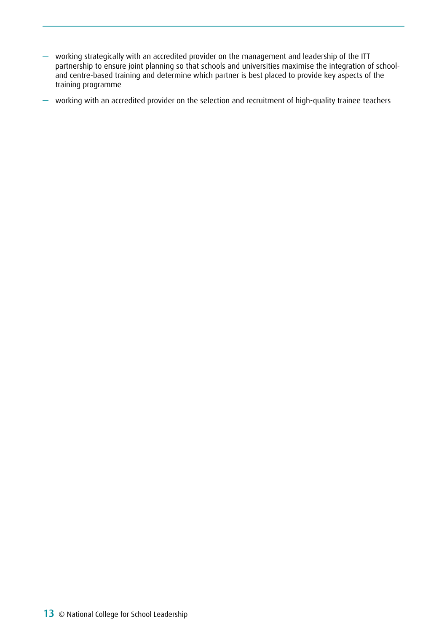— working strategically with an accredited provider on the management and leadership of the ITT partnership to ensure joint planning so that schools and universities maximise the integration of schooland centre-based training and determine which partner is best placed to provide key aspects of the training programme

— working with an accredited provider on the selection and recruitment of high-quality trainee teachers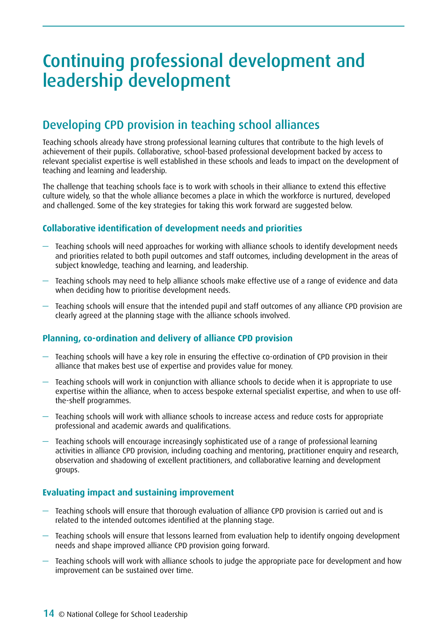# <span id="page-13-0"></span>Continuing professional development and leadership development

## Developing CPD provision in teaching school alliances

Teaching schools already have strong professional learning cultures that contribute to the high levels of achievement of their pupils. Collaborative, school-based professional development backed by access to relevant specialist expertise is well established in these schools and leads to impact on the development of teaching and learning and leadership.

The challenge that teaching schools face is to work with schools in their alliance to extend this effective culture widely, so that the whole alliance becomes a place in which the workforce is nurtured, developed and challenged. Some of the key strategies for taking this work forward are suggested below.

#### **Collaborative identification of development needs and priorities**

- Teaching schools will need approaches for working with alliance schools to identify development needs and priorities related to both pupil outcomes and staff outcomes, including development in the areas of subject knowledge, teaching and learning, and leadership.
- Teaching schools may need to help alliance schools make effective use of a range of evidence and data when deciding how to prioritise development needs.
- Teaching schools will ensure that the intended pupil and staff outcomes of any alliance CPD provision are clearly agreed at the planning stage with the alliance schools involved.

#### **Planning, co-ordination and delivery of alliance CPD provision**

- Teaching schools will have a key role in ensuring the effective co-ordination of CPD provision in their alliance that makes best use of expertise and provides value for money.
- Teaching schools will work in conjunction with alliance schools to decide when it is appropriate to use expertise within the alliance, when to access bespoke external specialist expertise, and when to use offthe-shelf programmes.
- Teaching schools will work with alliance schools to increase access and reduce costs for appropriate professional and academic awards and qualifications.
- Teaching schools will encourage increasingly sophisticated use of a range of professional learning activities in alliance CPD provision, including coaching and mentoring, practitioner enquiry and research, observation and shadowing of excellent practitioners, and collaborative learning and development groups.

#### **Evaluating impact and sustaining improvement**

- Teaching schools will ensure that thorough evaluation of alliance CPD provision is carried out and is related to the intended outcomes identified at the planning stage.
- Teaching schools will ensure that lessons learned from evaluation help to identify ongoing development needs and shape improved alliance CPD provision going forward.
- Teaching schools will work with alliance schools to judge the appropriate pace for development and how improvement can be sustained over time.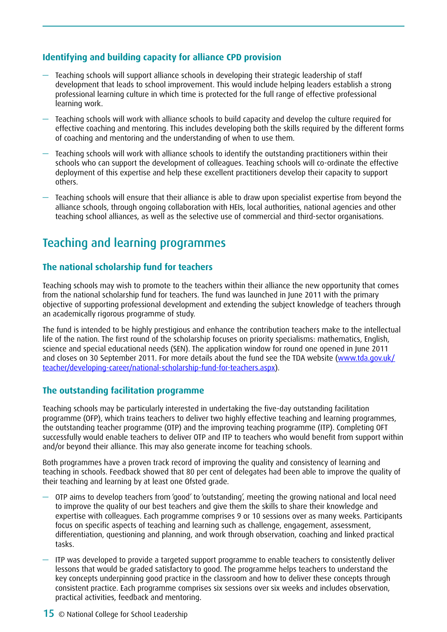#### **Identifying and building capacity for alliance CPD provision**

- Teaching schools will support alliance schools in developing their strategic leadership of staff development that leads to school improvement. This would include helping leaders establish a strong professional learning culture in which time is protected for the full range of effective professional learning work.
- Teaching schools will work with alliance schools to build capacity and develop the culture required for effective coaching and mentoring. This includes developing both the skills required by the different forms of coaching and mentoring and the understanding of when to use them.
- Teaching schools will work with alliance schools to identify the outstanding practitioners within their schools who can support the development of colleagues. Teaching schools will co-ordinate the effective deployment of this expertise and help these excellent practitioners develop their capacity to support others.
- Teaching schools will ensure that their alliance is able to draw upon specialist expertise from beyond the alliance schools, through ongoing collaboration with HEIs, local authorities, national agencies and other teaching school alliances, as well as the selective use of commercial and third-sector organisations.

### Teaching and learning programmes

#### **The national scholarship fund for teachers**

Teaching schools may wish to promote to the teachers within their alliance the new opportunity that comes from the national scholarship fund for teachers. The fund was launched in June 2011 with the primary objective of supporting professional development and extending the subject knowledge of teachers through an academically rigorous programme of study.

The fund is intended to be highly prestigious and enhance the contribution teachers make to the intellectual life of the nation. The first round of the scholarship focuses on priority specialisms: mathematics, English, science and special educational needs (SEN). The application window for round one opened in June 2011 and closes on 30 September 2011. For more details about the fund see the TDA website (www.tda.gov.uk/ teacher/developing-career/national-scholarship-fund-for-teachers.aspx).

#### **The outstanding facilitation programme**

Teaching schools may be particularly interested in undertaking the five-day outstanding facilitation programme (OFP), which trains teachers to deliver two highly effective teaching and learning programmes, the outstanding teacher programme (OTP) and the improving teaching programme (ITP). Completing OFT successfully would enable teachers to deliver OTP and ITP to teachers who would benefit from support within and/or beyond their alliance. This may also generate income for teaching schools.

Both programmes have a proven track record of improving the quality and consistency of learning and teaching in schools. Feedback showed that 80 per cent of delegates had been able to improve the quality of their teaching and learning by at least one Ofsted grade.

- OTP aims to develop teachers from 'good' to 'outstanding', meeting the growing national and local need to improve the quality of our best teachers and give them the skills to share their knowledge and expertise with colleagues. Each programme comprises 9 or 10 sessions over as many weeks. Participants focus on specific aspects of teaching and learning such as challenge, engagement, assessment, differentiation, questioning and planning, and work through observation, coaching and linked practical tasks.
- ITP was developed to provide a targeted support programme to enable teachers to consistently deliver lessons that would be graded satisfactory to good. The programme helps teachers to understand the key concepts underpinning good practice in the classroom and how to deliver these concepts through consistent practice. Each programme comprises six sessions over six weeks and includes observation, practical activities, feedback and mentoring.
- **15** © National College for School Leadership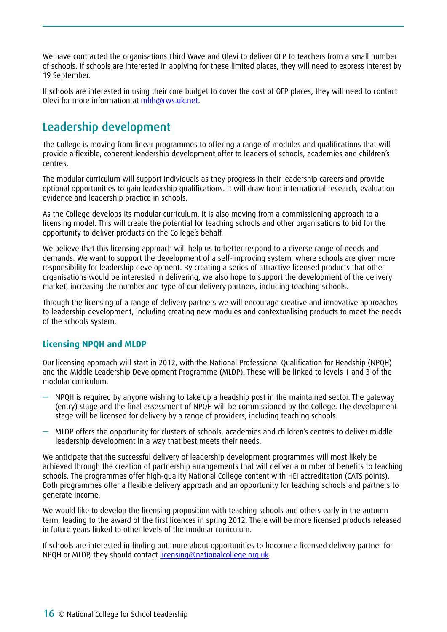We have contracted the organisations Third Wave and Olevi to deliver OFP to teachers from a small number of schools. If schools are interested in applying for these limited places, they will need to express interest by 19 September.

If schools are interested in using their core budget to cover the cost of OFP places, they will need to contact Olevi for more information at [mbh@rws.uk.net.](mailto:mbh@rws.uk.net)

## Leadership development

The College is moving from linear programmes to offering a range of modules and qualifications that will provide a flexible, coherent leadership development offer to leaders of schools, academies and children's centres.

The modular curriculum will support individuals as they progress in their leadership careers and provide optional opportunities to gain leadership qualifications. It will draw from international research, evaluation evidence and leadership practice in schools.

As the College develops its modular curriculum, it is also moving from a commissioning approach to a licensing model. This will create the potential for teaching schools and other organisations to bid for the opportunity to deliver products on the College's behalf.

We believe that this licensing approach will help us to better respond to a diverse range of needs and demands. We want to support the development of a self-improving system, where schools are given more responsibility for leadership development. By creating a series of attractive licensed products that other organisations would be interested in delivering, we also hope to support the development of the delivery market, increasing the number and type of our delivery partners, including teaching schools.

Through the licensing of a range of delivery partners we will encourage creative and innovative approaches to leadership development, including creating new modules and contextualising products to meet the needs of the schools system.

#### **Licensing NPQH and MLDP**

Our licensing approach will start in 2012, with the National Professional Qualification for Headship (NPQH) and the Middle Leadership Development Programme (MLDP). These will be linked to levels 1 and 3 of the modular curriculum.

- NPQH is required by anyone wishing to take up a headship post in the maintained sector. The gateway (entry) stage and the final assessment of NPQH will be commissioned by the College. The development stage will be licensed for delivery by a range of providers, including teaching schools.
- MLDP offers the opportunity for clusters of schools, academies and children's centres to deliver middle leadership development in a way that best meets their needs.

We anticipate that the successful delivery of leadership development programmes will most likely be achieved through the creation of partnership arrangements that will deliver a number of benefits to teaching schools. The programmes offer high-quality National College content with HEI accreditation (CATS points). Both programmes offer a flexible delivery approach and an opportunity for teaching schools and partners to generate income.

We would like to develop the licensing proposition with teaching schools and others early in the autumn term, leading to the award of the first licences in spring 2012. There will be more licensed products released in future years linked to other levels of the modular curriculum.

If schools are interested in finding out more about opportunities to become a licensed delivery partner for NPQH or MLDP, they should contact [licensing@nationalcollege.org.uk](mailto:licensing@nationalcollege.org.uk).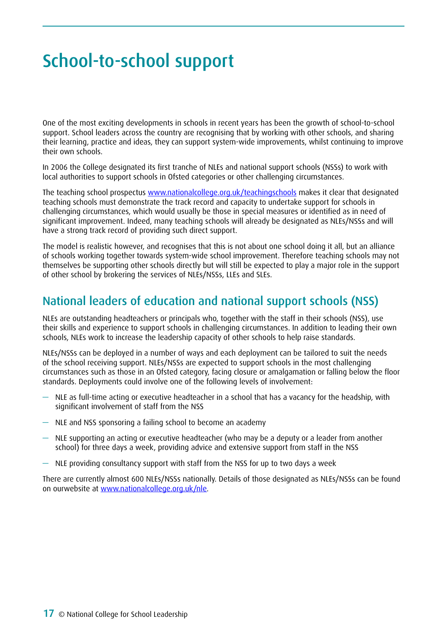# <span id="page-16-0"></span>School-to-school support

One of the most exciting developments in schools in recent years has been the growth of school-to-school support. School leaders across the country are recognising that by working with other schools, and sharing their learning, practice and ideas, they can support system-wide improvements, whilst continuing to improve their own schools.

In 2006 the College designated its first tranche of NLEs and national support schools (NSSs) to work with local authorities to support schools in Ofsted categories or other challenging circumstances.

The teaching school prospectus www.nationalcollege.org.uk/teachingschools makes it clear that designated teaching schools must demonstrate the track record and capacity to undertake support for schools in challenging circumstances, which would usually be those in special measures or identified as in need of significant improvement. Indeed, many teaching schools will already be designated as NLEs/NSSs and will have a strong track record of providing such direct support.

The model is realistic however, and recognises that this is not about one school doing it all, but an alliance of schools working together towards system-wide school improvement. Therefore teaching schools may not themselves be supporting other schools directly but will still be expected to play a major role in the support of other school by brokering the services of NLEs/NSSs, LLEs and SLEs.

### National leaders of education and national support schools (NSS)

NLEs are outstanding headteachers or principals who, together with the staff in their schools (NSS), use their skills and experience to support schools in challenging circumstances. In addition to leading their own schools, NLEs work to increase the leadership capacity of other schools to help raise standards.

NLEs/NSSs can be deployed in a number of ways and each deployment can be tailored to suit the needs of the school receiving support. NLEs/NSSs are expected to support schools in the most challenging circumstances such as those in an Ofsted category, facing closure or amalgamation or falling below the floor standards. Deployments could involve one of the following levels of involvement:

- NLE as full-time acting or executive headteacher in a school that has a vacancy for the headship, with significant involvement of staff from the NSS
- NLE and NSS sponsoring a failing school to become an academy
- NLE supporting an acting or executive headteacher (who may be a deputy or a leader from another school) for three days a week, providing advice and extensive support from staff in the NSS
- NLE providing consultancy support with staff from the NSS for up to two days a week

There are currently almost 600 NLEs/NSSs nationally. Details of those designated as NLEs/NSSs can be found on ourwebsite at [www.nationalcollege.org.uk/nle](http://www.nationalcollege.org.uk/nle).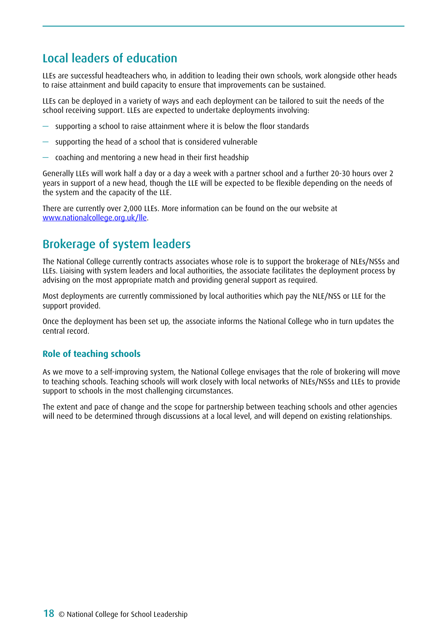## Local leaders of education

LLEs are successful headteachers who, in addition to leading their own schools, work alongside other heads to raise attainment and build capacity to ensure that improvements can be sustained.

LLEs can be deployed in a variety of ways and each deployment can be tailored to suit the needs of the school receiving support. LLEs are expected to undertake deployments involving:

- supporting a school to raise attainment where it is below the floor standards
- supporting the head of a school that is considered vulnerable
- coaching and mentoring a new head in their first headship

Generally LLEs will work half a day or a day a week with a partner school and a further 20-30 hours over 2 years in support of a new head, though the LLE will be expected to be flexible depending on the needs of the system and the capacity of the LLE.

There are currently over 2,000 LLEs. More information can be found on the our website at [www.nationalcollege.org.uk/lle](http://www.nationalcollege.org.uk/lle).

## Brokerage of system leaders

The National College currently contracts associates whose role is to support the brokerage of NLEs/NSSs and LLEs. Liaising with system leaders and local authorities, the associate facilitates the deployment process by advising on the most appropriate match and providing general support as required.

Most deployments are currently commissioned by local authorities which pay the NLE/NSS or LLE for the support provided.

Once the deployment has been set up, the associate informs the National College who in turn updates the central record.

#### **Role of teaching schools**

As we move to a self-improving system, the National College envisages that the role of brokering will move to teaching schools. Teaching schools will work closely with local networks of NLEs/NSSs and LLEs to provide support to schools in the most challenging circumstances.

The extent and pace of change and the scope for partnership between teaching schools and other agencies will need to be determined through discussions at a local level, and will depend on existing relationships.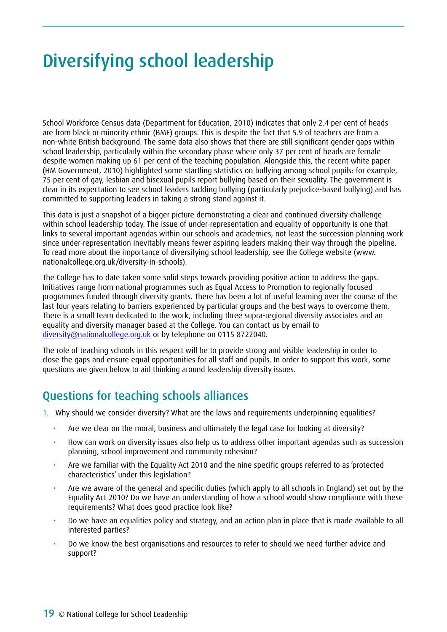# <span id="page-18-0"></span>Diversifying school leadership

School Workforce Census data (Department for Education, 2010) indicates that only 2.4 per cent of heads are from black or minority ethnic (BME) groups. This is despite the fact that 5.9 of teachers are from a non-white British background. The same data also shows that there are still significant gender gaps within school leadership, particularly within the secondary phase where only 37 per cent of heads are female despite women making up 61 per cent of the teaching population. Alongside this, the recent white paper (HM Government, 2010) highlighted some startling statistics on bullying among school pupils: for example, 75 per cent of gay, lesbian and bisexual pupils report bullying based on their sexuality. The government is clear in its expectation to see school leaders tackling bullying (particularly prejudice-based bullying) and has committed to supporting leaders in taking a strong stand against it.

This data is just a snapshot of a bigger picture demonstrating a clear and continued diversity challenge within school leadership today. The issue of under-representation and equality of opportunity is one that links to several important agendas within our schools and academies, not least the succession planning work since under-representation inevitably means fewer aspiring leaders making their way through the pipeline. To read more about the importance of diversifying school leadership, see the College website [\(www.](http://www.nationalcollege.org.uk/diversity-in-schools) [nationalcollege.org.uk/diversity-in-schools\)](http://www.nationalcollege.org.uk/diversity-in-schools).

The College has to date taken some solid steps towards providing positive action to address the gaps. Initiatives range from national programmes such as Equal Access to Promotion to regionally focused programmes funded through diversity grants. There has been a lot of useful learning over the course of the last four years relating to barriers experienced by particular groups and the best ways to overcome them. There is a small team dedicated to the work, including three supra-regional diversity associates and an equality and diversity manager based at the College. You can contact us by email to [diversity@nationalcollege.org.uk](mailto:diversity@nationalcollege.org.uk) or by telephone on 0115 8722040.

The role of teaching schools in this respect will be to provide strong and visible leadership in order to close the gaps and ensure equal opportunities for all staff and pupils. In order to support this work, some questions are given below to aid thinking around leadership diversity issues.

## Questions for teaching schools alliances

- 1. Why should we consider diversity? What are the laws and requirements underpinning equalities?
	- Are we clear on the moral, business and ultimately the legal case for looking at diversity?
	- How can work on diversity issues also help us to address other important agendas such as succession planning, school improvement and community cohesion?
	- Are we familiar with the Equality Act 2010 and the nine specific groups referred to as 'protected characteristics' under this legislation?
	- Are we aware of the general and specific duties (which apply to all schools in England) set out by the Equality Act 2010? Do we have an understanding of how a school would show compliance with these requirements? What does good practice look like?
	- Do we have an equalities policy and strategy, and an action plan in place that is made available to all interested parties?
	- Do we know the best organisations and resources to refer to should we need further advice and support?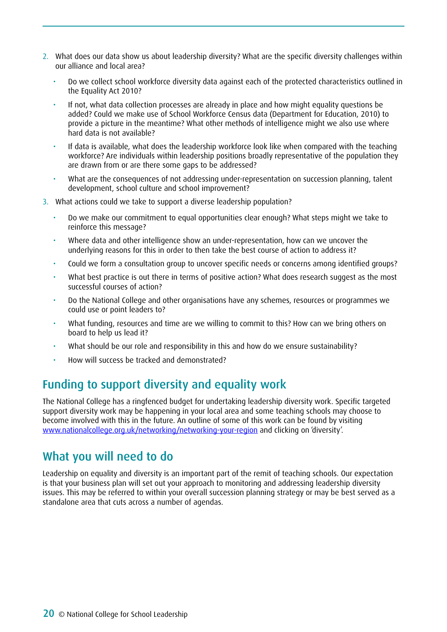- 2. What does our data show us about leadership diversity? What are the specific diversity challenges within our alliance and local area?
	- Do we collect school workforce diversity data against each of the protected characteristics outlined in the Equality Act 2010?
	- If not, what data collection processes are already in place and how might equality questions be added? Could we make use of School Workforce Census data (Department for Education, 2010) to provide a picture in the meantime? What other methods of intelligence might we also use where hard data is not available?
	- If data is available, what does the leadership workforce look like when compared with the teaching workforce? Are individuals within leadership positions broadly representative of the population they are drawn from or are there some gaps to be addressed?
	- What are the consequences of not addressing under-representation on succession planning, talent development, school culture and school improvement?
- 3. What actions could we take to support a diverse leadership population?
	- Do we make our commitment to equal opportunities clear enough? What steps might we take to reinforce this message?
	- Where data and other intelligence show an under-representation, how can we uncover the underlying reasons for this in order to then take the best course of action to address it?
	- Could we form a consultation group to uncover specific needs or concerns among identified groups?
	- What best practice is out there in terms of positive action? What does research suggest as the most successful courses of action?
	- Do the National College and other organisations have any schemes, resources or programmes we could use or point leaders to?
	- What funding, resources and time are we willing to commit to this? How can we bring others on board to help us lead it?
	- What should be our role and responsibility in this and how do we ensure sustainability?
	- How will success be tracked and demonstrated?

### Funding to support diversity and equality work

The National College has a ringfenced budget for undertaking leadership diversity work. Specific targeted support diversity work may be happening in your local area and some teaching schools may choose to become involved with this in the future. An outline of some of this work can be found by visiting [www.nationalcollege.org.uk/networking/networking-your-region](http://www.nationalcollege.org.uk/networking/networking-your-region) and clicking on 'diversity'.

### What you will need to do

Leadership on equality and diversity is an important part of the remit of teaching schools. Our expectation is that your business plan will set out your approach to monitoring and addressing leadership diversity issues. This may be referred to within your overall succession planning strategy or may be best served as a standalone area that cuts across a number of agendas.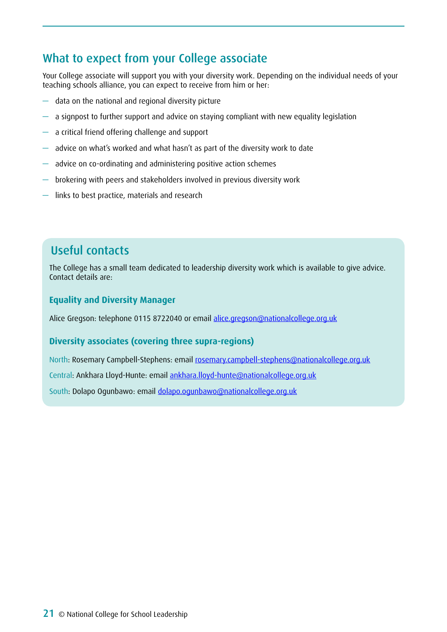## What to expect from your College associate

Your College associate will support you with your diversity work. Depending on the individual needs of your teaching schools alliance, you can expect to receive from him or her:

- data on the national and regional diversity picture
- a signpost to further support and advice on staying compliant with new equality legislation
- a critical friend offering challenge and support
- advice on what's worked and what hasn't as part of the diversity work to date
- advice on co-ordinating and administering positive action schemes
- brokering with peers and stakeholders involved in previous diversity work
- links to best practice, materials and research

## Useful contacts

The College has a small team dedicated to leadership diversity work which is available to give advice. Contact details are:

#### **Equality and Diversity Manager**

Alice Gregson: telephone 0115 8722040 or email [alice.gregson@nationalcollege.org.uk](mailto:alice.gregson@nationalcollege.org.uk)

#### **Diversity associates (covering three supra-regions)**

North: Rosemary Campbell-Stephens: email [rosemary.campbell-stephens@nationalcollege.org.uk](mailto:rosemary.campbell-stephens@nationalcollege.org.uk)

Central: Ankhara Lloyd-Hunte: email [ankhara.lloyd-hunte@nationalcollege.org.uk](mailto:ankhara.lloyd-hunte@nationalcollege.org.uk)

South: Dolapo Ogunbawo: email [dolapo.ogunbawo@nationalcollege.org.uk](mailto:dolapo.ogunbawo@nationalcollege.org.uk)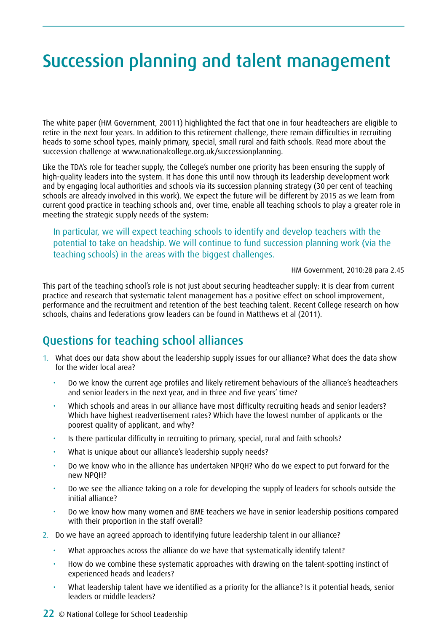# <span id="page-21-0"></span>Succession planning and talent management

The white paper (HM Government, 20011) highlighted the fact that one in four headteachers are eligible to retire in the next four years. In addition to this retirement challenge, there remain difficulties in recruiting heads to some school types, mainly primary, special, small rural and faith schools. Read more about the succession challenge at [www.nationalcollege.org.uk/successionplanning](http://www.nationalcollege.org.uk/successionplanning).

Like the TDA's role for teacher supply, the College's number one priority has been ensuring the supply of high-quality leaders into the system. It has done this until now through its leadership development work and by engaging local authorities and schools via its succession planning strategy (30 per cent of teaching schools are already involved in this work). We expect the future will be different by 2015 as we learn from current good practice in teaching schools and, over time, enable all teaching schools to play a greater role in meeting the strategic supply needs of the system:

In particular, we will expect teaching schools to identify and develop teachers with the potential to take on headship. We will continue to fund succession planning work (via the teaching schools) in the areas with the biggest challenges.

HM Government, 2010:28 para 2.45

This part of the teaching school's role is not just about securing headteacher supply: it is clear from current practice and research that systematic talent management has a positive effect on school improvement, performance and the recruitment and retention of the best teaching talent. Recent College research on how schools, chains and federations grow leaders can be found in Matthews et al (2011).

### Questions for teaching school alliances

- 1. What does our data show about the leadership supply issues for our alliance? What does the data show for the wider local area?
	- Do we know the current age profiles and likely retirement behaviours of the alliance's headteachers and senior leaders in the next year, and in three and five years' time?
	- Which schools and areas in our alliance have most difficulty recruiting heads and senior leaders? Which have highest readvertisement rates? Which have the lowest number of applicants or the poorest quality of applicant, and why?
	- Is there particular difficulty in recruiting to primary, special, rural and faith schools?
	- What is unique about our alliance's leadership supply needs?
	- Do we know who in the alliance has undertaken NPQH? Who do we expect to put forward for the new NPQH?
	- Do we see the alliance taking on a role for developing the supply of leaders for schools outside the initial alliance?
	- Do we know how many women and BME teachers we have in senior leadership positions compared with their proportion in the staff overall?
- 2. Do we have an agreed approach to identifying future leadership talent in our alliance?
	- What approaches across the alliance do we have that systematically identify talent?
	- How do we combine these systematic approaches with drawing on the talent-spotting instinct of experienced heads and leaders?
	- What leadership talent have we identified as a priority for the alliance? Is it potential heads, senior leaders or middle leaders?
- 22 © National College for School Leadership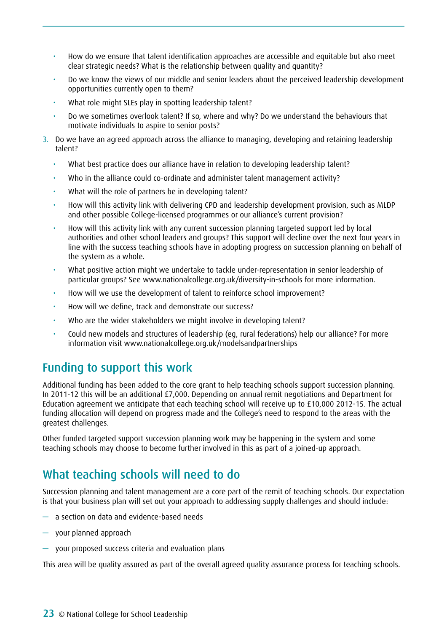- How do we ensure that talent identification approaches are accessible and equitable but also meet clear strategic needs? What is the relationship between quality and quantity?
- Do we know the views of our middle and senior leaders about the perceived leadership development opportunities currently open to them?
- What role might SLEs play in spotting leadership talent?
- Do we sometimes overlook talent? If so, where and why? Do we understand the behaviours that motivate individuals to aspire to senior posts?
- 3. Do we have an agreed approach across the alliance to managing, developing and retaining leadership talent?
	- What best practice does our alliance have in relation to developing leadership talent?
	- Who in the alliance could co-ordinate and administer talent management activity?
	- What will the role of partners be in developing talent?
	- How will this activity link with delivering CPD and leadership development provision, such as MLDP and other possible College-licensed programmes or our alliance's current provision?
	- How will this activity link with any current succession planning targeted support led by local authorities and other school leaders and groups? This support will decline over the next four years in line with the success teaching schools have in adopting progress on succession planning on behalf of the system as a whole.
	- What positive action might we undertake to tackle under-representation in senior leadership of particular groups? See [www.nationalcollege.org.uk/diversity-in-schools](http://www.nationalcollege.org.uk/diversity-in-schools) for more information.
	- How will we use the development of talent to reinforce school improvement?
	- How will we define, track and demonstrate our success?
	- Who are the wider stakeholders we might involve in developing talent?
	- Could new models and structures of leadership (eg, rural federations) help our alliance? For more information visit [www.nationalcollege.org.uk/modelsandpartnerships](http://www.nationalcollege.org.uk/modelsandpartnerships)

### Funding to support this work

Additional funding has been added to the core grant to help teaching schools support succession planning. In 2011-12 this will be an additional £7,000. Depending on annual remit negotiations and Department for Education agreement we anticipate that each teaching school will receive up to £10,000 2012-15. The actual funding allocation will depend on progress made and the College's need to respond to the areas with the greatest challenges.

Other funded targeted support succession planning work may be happening in the system and some teaching schools may choose to become further involved in this as part of a joined-up approach.

## What teaching schools will need to do

Succession planning and talent management are a core part of the remit of teaching schools. Our expectation is that your business plan will set out your approach to addressing supply challenges and should include:

- a section on data and evidence-based needs
- your planned approach
- your proposed success criteria and evaluation plans

This area will be quality assured as part of the overall agreed quality assurance process for teaching schools.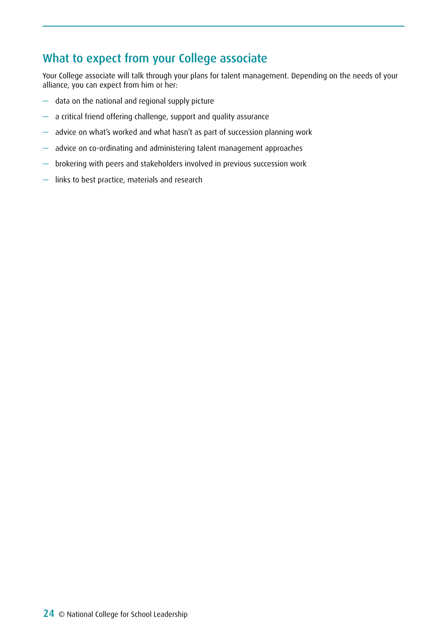## What to expect from your College associate

Your College associate will talk through your plans for talent management. Depending on the needs of your alliance, you can expect from him or her:

- data on the national and regional supply picture
- a critical friend offering challenge, support and quality assurance
- advice on what's worked and what hasn't as part of succession planning work
- advice on co-ordinating and administering talent management approaches
- brokering with peers and stakeholders involved in previous succession work
- links to best practice, materials and research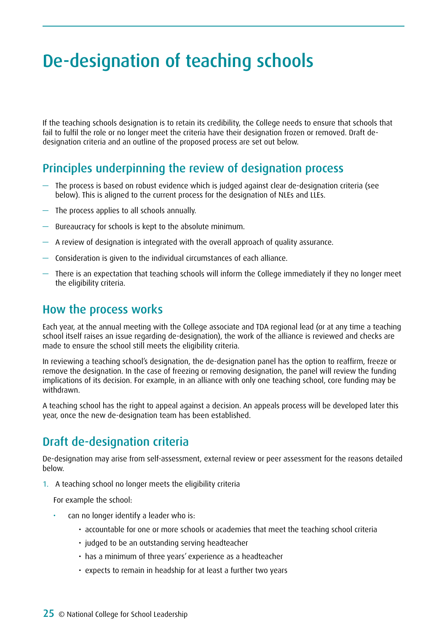# <span id="page-24-0"></span>De-designation of teaching schools

If the teaching schools designation is to retain its credibility, the College needs to ensure that schools that fail to fulfil the role or no longer meet the criteria have their designation frozen or removed. Draft dedesignation criteria and an outline of the proposed process are set out below.

### Principles underpinning the review of designation process

- The process is based on robust evidence which is judged against clear de-designation criteria (see below). This is aligned to the current process for the designation of NLEs and LLEs.
- The process applies to all schools annually.
- Bureaucracy for schools is kept to the absolute minimum.
- A review of designation is integrated with the overall approach of quality assurance.
- Consideration is given to the individual circumstances of each alliance.
- There is an expectation that teaching schools will inform the College immediately if they no longer meet the eligibility criteria.

#### How the process works

Each year, at the annual meeting with the College associate and TDA regional lead (or at any time a teaching school itself raises an issue regarding de-designation), the work of the alliance is reviewed and checks are made to ensure the school still meets the eligibility criteria.

In reviewing a teaching school's designation, the de-designation panel has the option to reaffirm, freeze or remove the designation. In the case of freezing or removing designation, the panel will review the funding implications of its decision. For example, in an alliance with only one teaching school, core funding may be withdrawn.

A teaching school has the right to appeal against a decision. An appeals process will be developed later this year, once the new de-designation team has been established.

### Draft de-designation criteria

De-designation may arise from self-assessment, external review or peer assessment for the reasons detailed below.

1. A teaching school no longer meets the eligibility criteria

For example the school:

- can no longer identify a leader who is:
	- accountable for one or more schools or academies that meet the teaching school criteria
	- judged to be an outstanding serving headteacher
	- has a minimum of three years' experience as a headteacher
	- expects to remain in headship for at least a further two years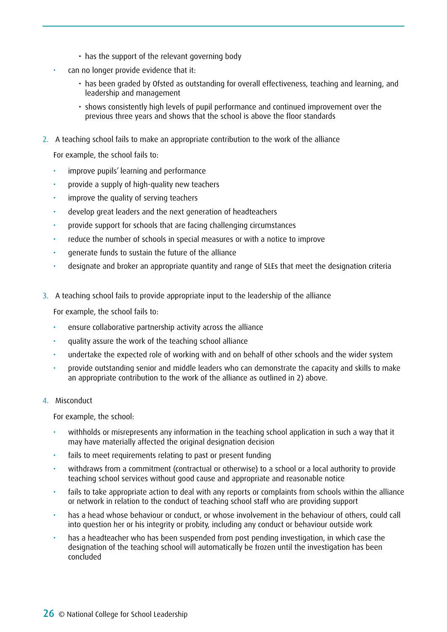- $\cdot$  has the support of the relevant governing body
- can no longer provide evidence that it:
	- has been graded by Ofsted as outstanding for overall effectiveness, teaching and learning, and leadership and management
	- shows consistently high levels of pupil performance and continued improvement over the previous three years and shows that the school is above the floor standards
- 2. A teaching school fails to make an appropriate contribution to the work of the alliance

For example, the school fails to:

- improve pupils' learning and performance
- provide a supply of high-quality new teachers
- • improve the quality of serving teachers
- develop great leaders and the next generation of headteachers
- provide support for schools that are facing challenging circumstances
- reduce the number of schools in special measures or with a notice to improve
- • generate funds to sustain the future of the alliance
- designate and broker an appropriate quantity and range of SLEs that meet the designation criteria
- 3. A teaching school fails to provide appropriate input to the leadership of the alliance

For example, the school fails to:

- • ensure collaborative partnership activity across the alliance
- quality assure the work of the teaching school alliance
- undertake the expected role of working with and on behalf of other schools and the wider system
- provide outstanding senior and middle leaders who can demonstrate the capacity and skills to make an appropriate contribution to the work of the alliance as outlined in 2) above.

#### 4. Misconduct

For example, the school:

- withholds or misrepresents any information in the teaching school application in such a way that it may have materially affected the original designation decision
- fails to meet requirements relating to past or present funding
- withdraws from a commitment (contractual or otherwise) to a school or a local authority to provide teaching school services without good cause and appropriate and reasonable notice
- fails to take appropriate action to deal with any reports or complaints from schools within the alliance or network in relation to the conduct of teaching school staff who are providing support
- has a head whose behaviour or conduct, or whose involvement in the behaviour of others, could call into question her or his integrity or probity, including any conduct or behaviour outside work
- has a headteacher who has been suspended from post pending investigation, in which case the designation of the teaching school will automatically be frozen until the investigation has been concluded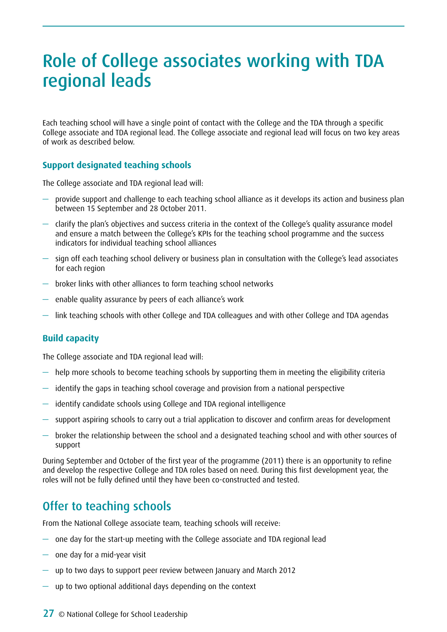# <span id="page-26-0"></span>Role of College associates working with TDA regional leads

Each teaching school will have a single point of contact with the College and the TDA through a specific College associate and TDA regional lead. The College associate and regional lead will focus on two key areas of work as described below.

#### **Support designated teaching schools**

The College associate and TDA regional lead will:

- provide support and challenge to each teaching school alliance as it develops its action and business plan between 15 September and 28 October 2011.
- clarify the plan's objectives and success criteria in the context of the College's quality assurance model and ensure a match between the College's KPIs for the teaching school programme and the success indicators for individual teaching school alliances
- sign off each teaching school delivery or business plan in consultation with the College's lead associates for each region
- broker links with other alliances to form teaching school networks
- enable quality assurance by peers of each alliance's work
- link teaching schools with other College and TDA colleagues and with other College and TDA agendas

#### **Build capacity**

The College associate and TDA regional lead will:

- $-$  help more schools to become teaching schools by supporting them in meeting the eligibility criteria
- identify the gaps in teaching school coverage and provision from a national perspective
- identify candidate schools using College and TDA regional intelligence
- support aspiring schools to carry out a trial application to discover and confirm areas for development
- broker the relationship between the school and a designated teaching school and with other sources of support

During September and October of the first year of the programme (2011) there is an opportunity to refine and develop the respective College and TDA roles based on need. During this first development year, the roles will not be fully defined until they have been co-constructed and tested.

### Offer to teaching schools

From the National College associate team, teaching schools will receive:

- one day for the start-up meeting with the College associate and TDA regional lead
- one day for a mid-year visit
- up to two days to support peer review between January and March 2012
- $-$  up to two optional additional days depending on the context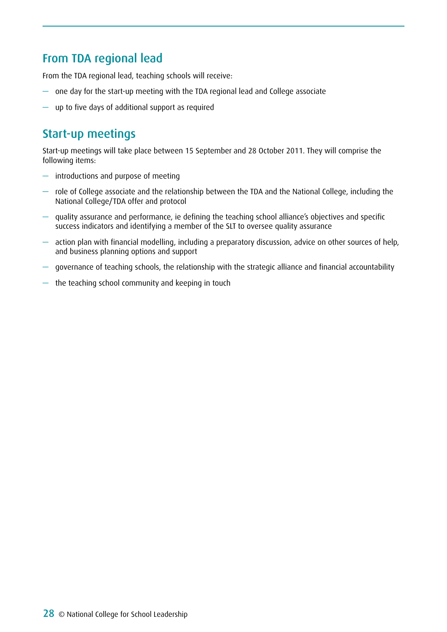## From TDA regional lead

From the TDA regional lead, teaching schools will receive:

- one day for the start-up meeting with the TDA regional lead and College associate
- up to five days of additional support as required

## Start-up meetings

Start-up meetings will take place between 15 September and 28 October 2011. They will comprise the following items:

- introductions and purpose of meeting
- role of College associate and the relationship between the TDA and the National College, including the National College/TDA offer and protocol
- quality assurance and performance, ie defining the teaching school alliance's objectives and specific success indicators and identifying a member of the SLT to oversee quality assurance
- action plan with financial modelling, including a preparatory discussion, advice on other sources of help, and business planning options and support
- governance of teaching schools, the relationship with the strategic alliance and financial accountability
- the teaching school community and keeping in touch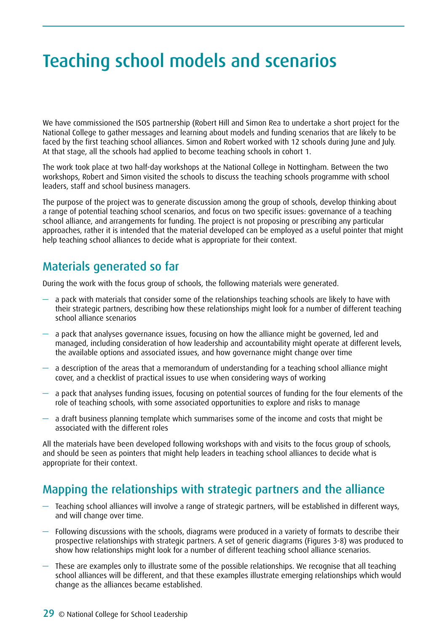# <span id="page-28-0"></span>Teaching school models and scenarios

We have commissioned the ISOS partnership (Robert Hill and Simon Rea to undertake a short project for the National College to gather messages and learning about models and funding scenarios that are likely to be faced by the first teaching school alliances. Simon and Robert worked with 12 schools during June and July. At that stage, all the schools had applied to become teaching schools in cohort 1.

The work took place at two half-day workshops at the National College in Nottingham. Between the two workshops, Robert and Simon visited the schools to discuss the teaching schools programme with school leaders, staff and school business managers.

The purpose of the project was to generate discussion among the group of schools, develop thinking about a range of potential teaching school scenarios, and focus on two specific issues: governance of a teaching school alliance, and arrangements for funding. The project is not proposing or prescribing any particular approaches, rather it is intended that the material developed can be employed as a useful pointer that might help teaching school alliances to decide what is appropriate for their context.

### Materials generated so far

During the work with the focus group of schools, the following materials were generated.

- $-$  a pack with materials that consider some of the relationships teaching schools are likely to have with their strategic partners, describing how these relationships might look for a number of different teaching school alliance scenarios
- a pack that analyses governance issues, focusing on how the alliance might be governed, led and managed, including consideration of how leadership and accountability might operate at different levels, the available options and associated issues, and how governance might change over time
- $-$  a description of the areas that a memorandum of understanding for a teaching school alliance might cover, and a checklist of practical issues to use when considering ways of working
- a pack that analyses funding issues, focusing on potential sources of funding for the four elements of the role of teaching schools, with some associated opportunities to explore and risks to manage
- $-$  a draft business planning template which summarises some of the income and costs that might be associated with the different roles

All the materials have been developed following workshops with and visits to the focus group of schools, and should be seen as pointers that might help leaders in teaching school alliances to decide what is appropriate for their context.

### Mapping the relationships with strategic partners and the alliance

- Teaching school alliances will involve a range of strategic partners, will be established in different ways, and will change over time.
- Following discussions with the schools, diagrams were produced in a variety of formats to describe their prospective relationships with strategic partners. A set of generic diagrams (Figures 3-8) was produced to show how relationships might look for a number of different teaching school alliance scenarios.
- These are examples only to illustrate some of the possible relationships. We recognise that all teaching school alliances will be different, and that these examples illustrate emerging relationships which would change as the alliances became established.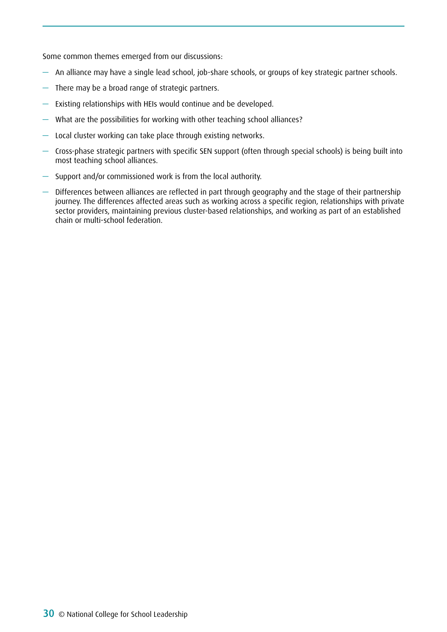Some common themes emerged from our discussions:

- An alliance may have a single lead school, job-share schools, or groups of key strategic partner schools.
- There may be a broad range of strategic partners.
- Existing relationships with HEIs would continue and be developed.
- What are the possibilities for working with other teaching school alliances?
- Local cluster working can take place through existing networks.
- Cross-phase strategic partners with specific SEN support (often through special schools) is being built into most teaching school alliances.
- Support and/or commissioned work is from the local authority.
- Differences between alliances are reflected in part through geography and the stage of their partnership journey. The differences affected areas such as working across a specific region, relationships with private sector providers, maintaining previous cluster-based relationships, and working as part of an established chain or multi-school federation.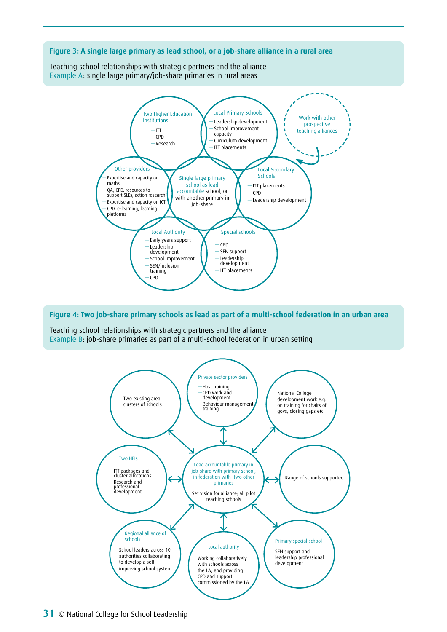

**Figure 4: Two job-share primary schools as lead as part of a multi-school federation in an urban area** 

Teaching school relationships with strategic partners and the alliance Example B: job-share primaries as part of a multi-school federation in urban setting

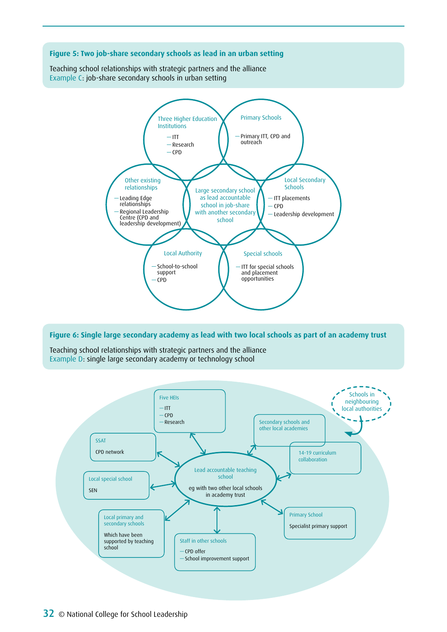

#### **Figure 6: Single large secondary academy as lead with two local schools as part of an academy trust**

Teaching school relationships with strategic partners and the alliance Example D: single large secondary academy or technology school

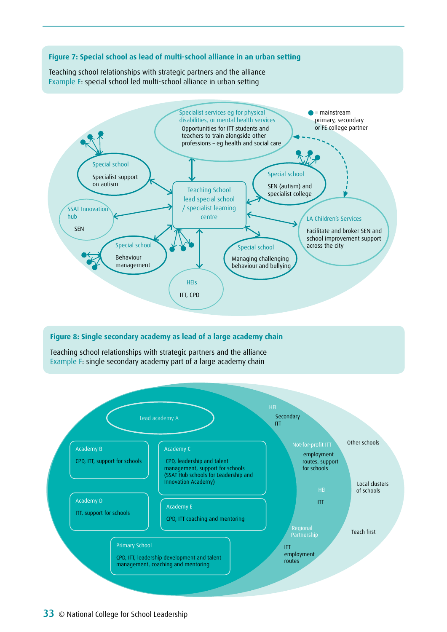

Teaching school relationships with strategic partners and the alliance Example E: special school led multi-school alliance in urban setting



#### **Figure 8: Single secondary academy as lead of a large academy chain**

Teaching school relationships with strategic partners and the alliance Example F: single secondary academy part of a large academy chain

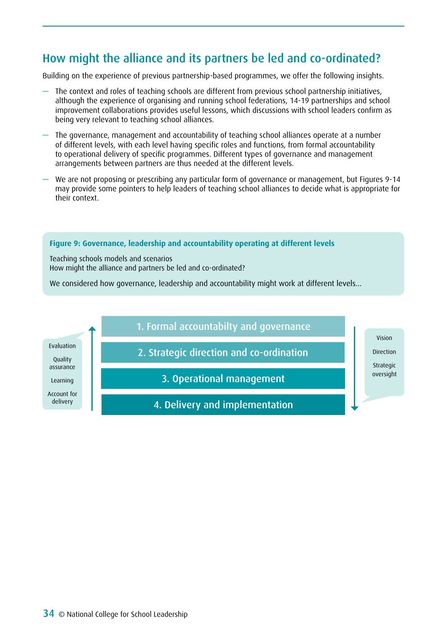## How might the alliance and its partners be led and co-ordinated?

Building on the experience of previous partnership-based programmes, we offer the following insights.

- The context and roles of teaching schools are different from previous school partnership initiatives, although the experience of organising and running school federations, 14-19 partnerships and school improvement collaborations provides useful lessons, which discussions with school leaders confirm as being very relevant to teaching school alliances.
- The governance, management and accountability of teaching school alliances operate at a number of different levels, with each level having specific roles and functions, from formal accountability to operational delivery of specific programmes. Different types of governance and management arrangements between partners are thus needed at the different levels.
- We are not proposing or prescribing any particular form of governance or management, but Figures 9-14 may provide some pointers to help leaders of teaching school alliances to decide what is appropriate for their context.

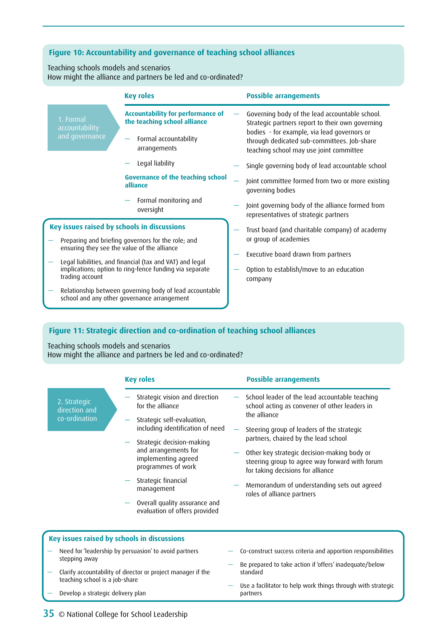#### **Figure 10: Accountability and governance of teaching school alliances**

Teaching schools models and scenarios How might the alliance and partners be led and co-ordinated?

|                                                                                                                                                                                                                                                                                            | <b>Key roles</b>                                                                                       | <b>Possible arrangements</b>                                                                                                          |
|--------------------------------------------------------------------------------------------------------------------------------------------------------------------------------------------------------------------------------------------------------------------------------------------|--------------------------------------------------------------------------------------------------------|---------------------------------------------------------------------------------------------------------------------------------------|
| 1. Formal<br>accountability                                                                                                                                                                                                                                                                | <b>Accountability for performance of</b><br>the teaching school alliance                               | Governing body of the lead accountable school.<br>Strategic partners report to their own governing                                    |
| and governance                                                                                                                                                                                                                                                                             | Formal accountability<br>arrangements                                                                  | bodies - for example, via lead governors or<br>through dedicated sub-committees. Job-share<br>teaching school may use joint committee |
|                                                                                                                                                                                                                                                                                            | Legal liability                                                                                        | Single governing body of lead accountable school                                                                                      |
|                                                                                                                                                                                                                                                                                            | <b>Governance of the teaching school</b><br>alliance                                                   | Joint committee formed from two or more existing<br>governing bodies                                                                  |
|                                                                                                                                                                                                                                                                                            | Formal monitoring and<br>oversight                                                                     | Joint governing body of the alliance formed from<br>representatives of strategic partners                                             |
| Key issues raised by schools in discussions<br>Preparing and briefing governors for the role; and<br>ensuring they see the value of the alliance<br>Legal liabilities, and financial (tax and VAT) and legal<br>implications; option to ring-fence funding via separate<br>trading account |                                                                                                        | Trust board (and charitable company) of academy                                                                                       |
|                                                                                                                                                                                                                                                                                            |                                                                                                        | or group of academies                                                                                                                 |
|                                                                                                                                                                                                                                                                                            |                                                                                                        | Executive board drawn from partners                                                                                                   |
|                                                                                                                                                                                                                                                                                            |                                                                                                        | Option to establish/move to an education<br>company                                                                                   |
|                                                                                                                                                                                                                                                                                            | Relationship between governing body of lead accountable<br>school and any other governance arrangement |                                                                                                                                       |
|                                                                                                                                                                                                                                                                                            |                                                                                                        |                                                                                                                                       |

#### **Figure 11: Strategic direction and co-ordination of teaching school alliances**

Teaching schools models and scenarios

How might the alliance and partners be led and co-ordinated?

2. Strategic direction and co-ordination

#### Strategic vision and direction for the alliance Strategic self-evaluation, including identification of need — Strategic decision-making and arrangements for implementing agreed programmes of work — Strategic financial management Overall quality assurance and evaluation of offers provided School leader of the lead accountable teaching school acting as convener of other leaders in the alliance Steering group of leaders of the strategic partners, chaired by the lead school Other key strategic decision-making body or steering group to agree way forward with forum for taking decisions for alliance — Memorandum of understanding sets out agreed roles of alliance partners **Key roles Possible arrangements**

#### **Key issues raised by schools in discussions**

- Need for 'leadership by persuasion' to avoid partners stepping away
- Clarify accountability of director or project manager if the teaching school is a job-share
- Develop a strategic delivery plan
- Co-construct success criteria and apportion responsibilities
- Be prepared to take action if 'offers' inadequate/below standard
- Use a facilitator to help work things through with strategic partners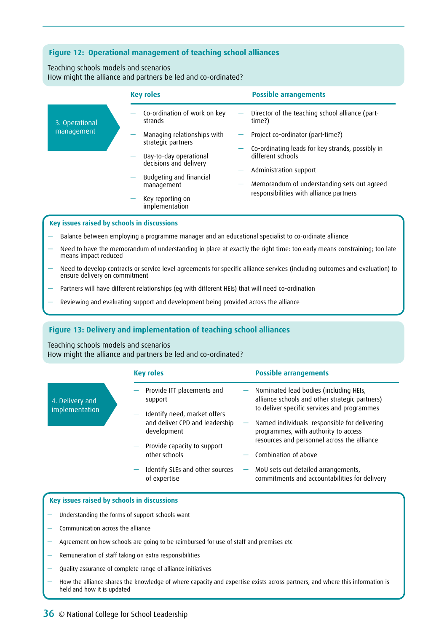#### **Figure 12: Operational management of teaching school alliances**

Teaching schools models and scenarios How might the alliance and partners be led and co-ordinated?

|                                             | <b>Key roles</b><br><b>Possible arrangements</b>                                                                                                    |  |  |  |
|---------------------------------------------|-----------------------------------------------------------------------------------------------------------------------------------------------------|--|--|--|
| 3. Operational                              | Co-ordination of work on key<br>Director of the teaching school alliance (part-<br>strands<br>time?)                                                |  |  |  |
| management                                  | Managing relationships with<br>Project co-ordinator (part-time?)<br>strategic partners                                                              |  |  |  |
|                                             | Co-ordinating leads for key strands, possibly in<br>different schools<br>Day-to-day operational<br>decisions and delivery<br>Administration support |  |  |  |
|                                             | Budgeting and financial<br>Memorandum of understanding sets out agreed<br>management                                                                |  |  |  |
|                                             | responsibilities with alliance partners<br>Key reporting on<br>implementation                                                                       |  |  |  |
| Key issues raised by schools in discussions |                                                                                                                                                     |  |  |  |

- Balance between employing a programme manager and an educational specialist to co-ordinate alliance
- Need to have the memorandum of understanding in place at exactly the right time: too early means constraining; too late means impact reduced
- Need to develop contracts or service level agreements for specific alliance services (including outcomes and evaluation) to ensure delivery on commitment
- Partners will have different relationships (eg with different HEIs) that will need co-ordination
- Reviewing and evaluating support and development being provided across the alliance

#### **Figure 13: Delivery and implementation of teaching school alliances**

Teaching schools models and scenarios

4. Delivery and implementation

How might the alliance and partners be led and co-ordinated?

|  | <b>Key roles</b>                                                                | <b>Possible arrangements</b>                                                                                                                |  |
|--|---------------------------------------------------------------------------------|---------------------------------------------------------------------------------------------------------------------------------------------|--|
|  | - Provide ITT placements and<br>support                                         | $-$ Nominated lead bodies (including HEIs,<br>alliance schools and other strategic partners)<br>to deliver specific services and programmes |  |
|  | - Identify need, market offers<br>and deliver CPD and leadership<br>development | $-$ Named individuals responsible for delivering<br>programmes, with authority to access<br>resources and personnel across the alliance     |  |
|  | $-$ Provide capacity to support<br>other schools                                | - Combination of above                                                                                                                      |  |
|  | Identify SLEs and other sources<br>of expertise                                 | MoU sets out detailed arrangements,<br>commitments and accountabilities for delivery                                                        |  |

#### **Key issues raised by schools in discussions**

- Understanding the forms of support schools want
- Communication across the alliance
- Agreement on how schools are going to be reimbursed for use of staff and premises etc
- Remuneration of staff taking on extra responsibilities
- Quality assurance of complete range of alliance initiatives
- How the alliance shares the knowledge of where capacity and expertise exists across partners, and where this information is held and how it is updated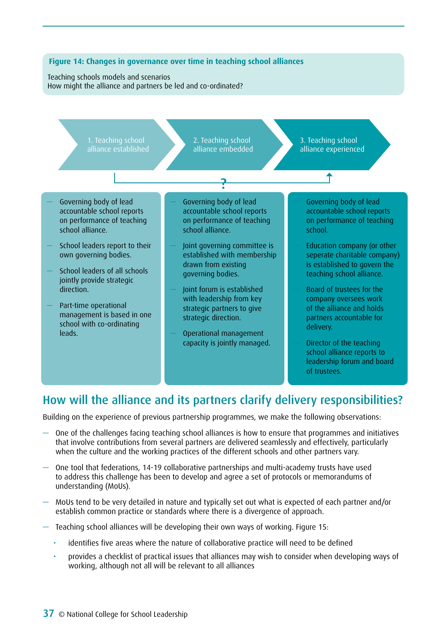

# How will the alliance and its partners clarify delivery responsibilities?

Building on the experience of previous partnership programmes, we make the following observations:

- $-$  One of the challenges facing teaching school alliances is how to ensure that programmes and initiatives that involve contributions from several partners are delivered seamlessly and effectively, particularly when the culture and the working practices of the different schools and other partners vary.
- One tool that federations, 14-19 collaborative partnerships and multi-academy trusts have used to address this challenge has been to develop and agree a set of protocols or memorandums of understanding (MoUs).
- MoUs tend to be very detailed in nature and typically set out what is expected of each partner and/or establish common practice or standards where there is a divergence of approach.
- Teaching school alliances will be developing their own ways of working. Figure 15:
	- identifies five areas where the nature of collaborative practice will need to be defined
	- provides a checklist of practical issues that alliances may wish to consider when developing ways of working, although not all will be relevant to all alliances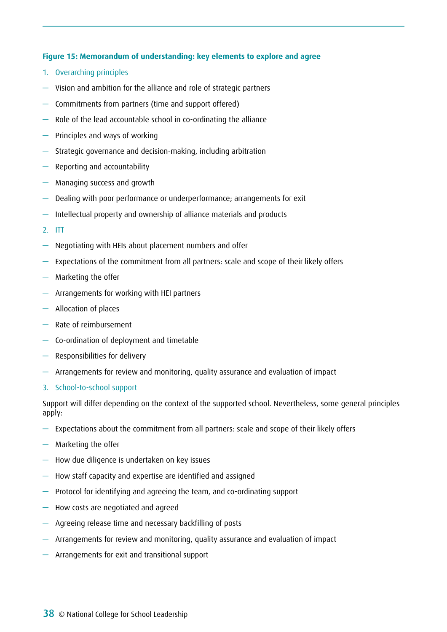### **Figure 15: Memorandum of understanding: key elements to explore and agree**

- 1. Overarching principles
- Vision and ambition for the alliance and role of strategic partners
- Commitments from partners (time and support offered)
- Role of the lead accountable school in co-ordinating the alliance
- Principles and ways of working
- Strategic governance and decision-making, including arbitration
- Reporting and accountability
- Managing success and growth
- Dealing with poor performance or underperformance; arrangements for exit
- Intellectual property and ownership of alliance materials and products
- 2. ITT
- Negotiating with HEIs about placement numbers and offer
- Expectations of the commitment from all partners: scale and scope of their likely offers
- Marketing the offer
- Arrangements for working with HEI partners
- Allocation of places
- Rate of reimbursement
- Co-ordination of deployment and timetable
- Responsibilities for delivery
- Arrangements for review and monitoring, quality assurance and evaluation of impact
- 3. School-to-school support

Support will differ depending on the context of the supported school. Nevertheless, some general principles apply:

- Expectations about the commitment from all partners: scale and scope of their likely offers
- Marketing the offer
- How due diligence is undertaken on key issues
- How staff capacity and expertise are identified and assigned
- Protocol for identifying and agreeing the team, and co-ordinating support
- How costs are negotiated and agreed
- Agreeing release time and necessary backfilling of posts
- Arrangements for review and monitoring, quality assurance and evaluation of impact
- Arrangements for exit and transitional support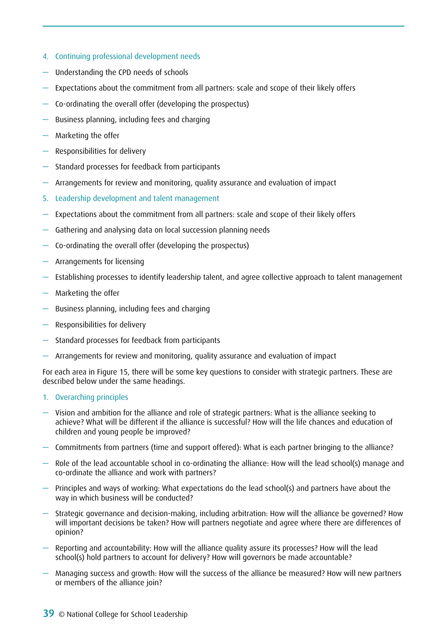- 4. Continuing professional development needs
- Understanding the CPD needs of schools
- Expectations about the commitment from all partners: scale and scope of their likely offers
- Co-ordinating the overall offer (developing the prospectus)
- Business planning, including fees and charging
- Marketing the offer
- Responsibilities for delivery
- Standard processes for feedback from participants
- Arrangements for review and monitoring, quality assurance and evaluation of impact
- 5. Leadership development and talent management
- Expectations about the commitment from all partners: scale and scope of their likely offers
- Gathering and analysing data on local succession planning needs
- Co-ordinating the overall offer (developing the prospectus)
- Arrangements for licensing
- Establishing processes to identify leadership talent, and agree collective approach to talent management
- Marketing the offer
- Business planning, including fees and charging
- Responsibilities for delivery
- Standard processes for feedback from participants
- Arrangements for review and monitoring, quality assurance and evaluation of impact

For each area in Figure 15, there will be some key questions to consider with strategic partners. These are described below under the same headings.

- 1. Overarching principles
- Vision and ambition for the alliance and role of strategic partners: What is the alliance seeking to achieve? What will be different if the alliance is successful? How will the life chances and education of children and young people be improved?
- Commitments from partners (time and support offered): What is each partner bringing to the alliance?
- Role of the lead accountable school in co-ordinating the alliance: How will the lead school(s) manage and co-ordinate the alliance and work with partners?
- Principles and ways of working: What expectations do the lead school(s) and partners have about the way in which business will be conducted?
- Strategic governance and decision-making, including arbitration: How will the alliance be governed? How will important decisions be taken? How will partners negotiate and agree where there are differences of opinion?
- Reporting and accountability: How will the alliance quality assure its processes? How will the lead school(s) hold partners to account for delivery? How will governors be made accountable?
- Managing success and growth: How will the success of the alliance be measured? How will new partners or members of the alliance join?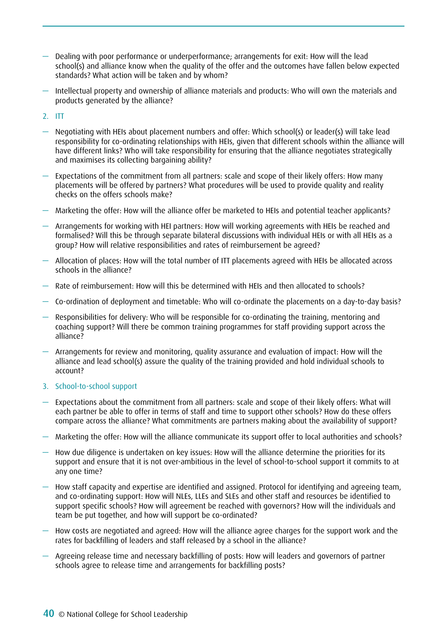- Dealing with poor performance or underperformance; arrangements for exit: How will the lead school(s) and alliance know when the quality of the offer and the outcomes have fallen below expected standards? What action will be taken and by whom?
- Intellectual property and ownership of alliance materials and products: Who will own the materials and products generated by the alliance?
- 2. ITT
- Negotiating with HEIs about placement numbers and offer: Which school(s) or leader(s) will take lead responsibility for co-ordinating relationships with HEIs, given that different schools within the alliance will have different links? Who will take responsibility for ensuring that the alliance negotiates strategically and maximises its collecting bargaining ability?
- Expectations of the commitment from all partners: scale and scope of their likely offers: How many placements will be offered by partners? What procedures will be used to provide quality and reality checks on the offers schools make?
- Marketing the offer: How will the alliance offer be marketed to HEIs and potential teacher applicants?
- Arrangements for working with HEI partners: How will working agreements with HEIs be reached and formalised? Will this be through separate bilateral discussions with individual HEIs or with all HEIs as a group? How will relative responsibilities and rates of reimbursement be agreed?
- Allocation of places: How will the total number of ITT placements agreed with HEIs be allocated across schools in the alliance?
- Rate of reimbursement: How will this be determined with HEIs and then allocated to schools?
- Co-ordination of deployment and timetable: Who will co-ordinate the placements on a day-to-day basis?
- Responsibilities for delivery: Who will be responsible for co-ordinating the training, mentoring and coaching support? Will there be common training programmes for staff providing support across the alliance?
- Arrangements for review and monitoring, quality assurance and evaluation of impact: How will the alliance and lead school(s) assure the quality of the training provided and hold individual schools to account?
- 3. School-to-school support
- Expectations about the commitment from all partners: scale and scope of their likely offers: What will each partner be able to offer in terms of staff and time to support other schools? How do these offers compare across the alliance? What commitments are partners making about the availability of support?
- Marketing the offer: How will the alliance communicate its support offer to local authorities and schools?
- How due diligence is undertaken on key issues: How will the alliance determine the priorities for its support and ensure that it is not over-ambitious in the level of school-to-school support it commits to at any one time?
- How staff capacity and expertise are identified and assigned. Protocol for identifying and agreeing team, and co-ordinating support: How will NLEs, LLEs and SLEs and other staff and resources be identified to support specific schools? How will agreement be reached with governors? How will the individuals and team be put together, and how will support be co-ordinated?
- How costs are negotiated and agreed: How will the alliance agree charges for the support work and the rates for backfilling of leaders and staff released by a school in the alliance?
- Agreeing release time and necessary backfilling of posts: How will leaders and governors of partner schools agree to release time and arrangements for backfilling posts?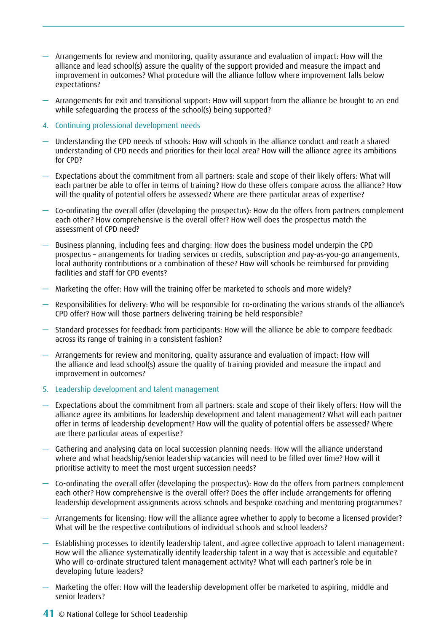- Arrangements for review and monitoring, quality assurance and evaluation of impact: How will the alliance and lead school(s) assure the quality of the support provided and measure the impact and improvement in outcomes? What procedure will the alliance follow where improvement falls below expectations?
- Arrangements for exit and transitional support: How will support from the alliance be brought to an end while safeguarding the process of the school(s) being supported?
- 4. Continuing professional development needs
- Understanding the CPD needs of schools: How will schools in the alliance conduct and reach a shared understanding of CPD needs and priorities for their local area? How will the alliance agree its ambitions for CPD?
- Expectations about the commitment from all partners: scale and scope of their likely offers: What will each partner be able to offer in terms of training? How do these offers compare across the alliance? How will the quality of potential offers be assessed? Where are there particular areas of expertise?
- Co-ordinating the overall offer (developing the prospectus): How do the offers from partners complement each other? How comprehensive is the overall offer? How well does the prospectus match the assessment of CPD need?
- Business planning, including fees and charging: How does the business model underpin the CPD prospectus – arrangements for trading services or credits, subscription and pay-as-you-go arrangements, local authority contributions or a combination of these? How will schools be reimbursed for providing facilities and staff for CPD events?
- Marketing the offer: How will the training offer be marketed to schools and more widely?
- Responsibilities for delivery: Who will be responsible for co-ordinating the various strands of the alliance's CPD offer? How will those partners delivering training be held responsible?
- Standard processes for feedback from participants: How will the alliance be able to compare feedback across its range of training in a consistent fashion?
- Arrangements for review and monitoring, quality assurance and evaluation of impact: How will the alliance and lead school(s) assure the quality of training provided and measure the impact and improvement in outcomes?
- 5. Leadership development and talent management
- Expectations about the commitment from all partners: scale and scope of their likely offers: How will the alliance agree its ambitions for leadership development and talent management? What will each partner offer in terms of leadership development? How will the quality of potential offers be assessed? Where are there particular areas of expertise?
- Gathering and analysing data on local succession planning needs: How will the alliance understand where and what headship/senior leadership vacancies will need to be filled over time? How will it prioritise activity to meet the most urgent succession needs?
- Co-ordinating the overall offer (developing the prospectus): How do the offers from partners complement each other? How comprehensive is the overall offer? Does the offer include arrangements for offering leadership development assignments across schools and bespoke coaching and mentoring programmes?
- Arrangements for licensing: How will the alliance agree whether to apply to become a licensed provider? What will be the respective contributions of individual schools and school leaders?
- Establishing processes to identify leadership talent, and agree collective approach to talent management: How will the alliance systematically identify leadership talent in a way that is accessible and equitable? Who will co-ordinate structured talent management activity? What will each partner's role be in developing future leaders?
- Marketing the offer: How will the leadership development offer be marketed to aspiring, middle and senior leaders?
- 41 © National College for School Leadership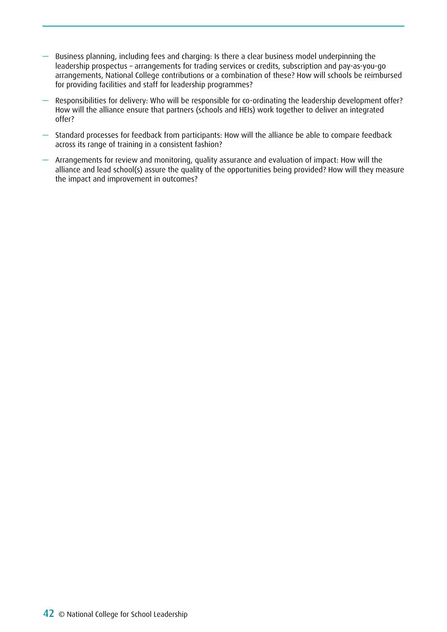- Business planning, including fees and charging: Is there a clear business model underpinning the leadership prospectus – arrangements for trading services or credits, subscription and pay-as-you-go arrangements, National College contributions or a combination of these? How will schools be reimbursed for providing facilities and staff for leadership programmes?
- Responsibilities for delivery: Who will be responsible for co-ordinating the leadership development offer? How will the alliance ensure that partners (schools and HEIs) work together to deliver an integrated offer?
- Standard processes for feedback from participants: How will the alliance be able to compare feedback across its range of training in a consistent fashion?
- Arrangements for review and monitoring, quality assurance and evaluation of impact: How will the alliance and lead school(s) assure the quality of the opportunities being provided? How will they measure the impact and improvement in outcomes?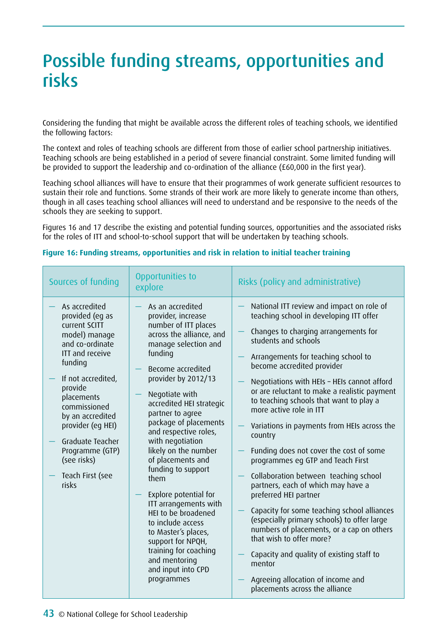# Possible funding streams, opportunities and risks

Considering the funding that might be available across the different roles of teaching schools, we identified the following factors:

The context and roles of teaching schools are different from those of earlier school partnership initiatives. Teaching schools are being established in a period of severe financial constraint. Some limited funding will be provided to support the leadership and co-ordination of the alliance (£60,000 in the first year).

Teaching school alliances will have to ensure that their programmes of work generate sufficient resources to sustain their role and functions. Some strands of their work are more likely to generate income than others, though in all cases teaching school alliances will need to understand and be responsive to the needs of the schools they are seeking to support.

Figures 16 and 17 describe the existing and potential funding sources, opportunities and the associated risks for the roles of ITT and school-to-school support that will be undertaken by teaching schools.

| Sources of funding                                                                                                                                                                                                                                                                                                    | Opportunities to<br>explore                                                                                                                                                                                                                                                                                                                                                                                                                                                                                                                                                                                          | Risks (policy and administrative)                                                                                                                                                                                                                                                                                                                                                                                                                                                                                                                                                                                                                                                                                                                                                                                                                                                                                                                     |
|-----------------------------------------------------------------------------------------------------------------------------------------------------------------------------------------------------------------------------------------------------------------------------------------------------------------------|----------------------------------------------------------------------------------------------------------------------------------------------------------------------------------------------------------------------------------------------------------------------------------------------------------------------------------------------------------------------------------------------------------------------------------------------------------------------------------------------------------------------------------------------------------------------------------------------------------------------|-------------------------------------------------------------------------------------------------------------------------------------------------------------------------------------------------------------------------------------------------------------------------------------------------------------------------------------------------------------------------------------------------------------------------------------------------------------------------------------------------------------------------------------------------------------------------------------------------------------------------------------------------------------------------------------------------------------------------------------------------------------------------------------------------------------------------------------------------------------------------------------------------------------------------------------------------------|
| As accredited<br>provided (eq as<br>current SCITT<br>model) manage<br>and co-ordinate<br><b>ITT and receive</b><br>funding<br>If not accredited,<br>provide<br>placements<br>commissioned<br>by an accredited<br>provider (eg HEI)<br>Graduate Teacher<br>Programme (GTP)<br>(see risks)<br>Teach First (see<br>risks | As an accredited<br>provider, increase<br>number of ITT places<br>across the alliance, and<br>manage selection and<br>funding<br>Become accredited<br>provider by 2012/13<br>Negotiate with<br>accredited HEI strategic<br>partner to agree<br>package of placements<br>and respective roles,<br>with negotiation<br>likely on the number<br>of placements and<br>funding to support<br>them<br>Explore potential for<br>ITT arrangements with<br>HEI to be broadened<br>to include access<br>to Master's places,<br>support for NPQH,<br>training for coaching<br>and mentoring<br>and input into CPD<br>programmes | National ITT review and impact on role of<br>teaching school in developing ITT offer<br>Changes to charging arrangements for<br>students and schools<br>Arrangements for teaching school to<br>become accredited provider<br>Negotiations with HEIs - HEIs cannot afford<br>or are reluctant to make a realistic payment<br>to teaching schools that want to play a<br>more active role in ITT<br>Variations in payments from HEIs across the<br>country<br>Funding does not cover the cost of some<br>programmes eg GTP and Teach First<br>Collaboration between teaching school<br>partners, each of which may have a<br>preferred HEI partner<br>Capacity for some teaching school alliances<br>(especially primary schools) to offer large<br>numbers of placements, or a cap on others<br>that wish to offer more?<br>Capacity and quality of existing staff to<br>mentor<br>Agreeing allocation of income and<br>placements across the alliance |

#### **Figure 16: Funding streams, opportunities and risk in relation to initial teacher training**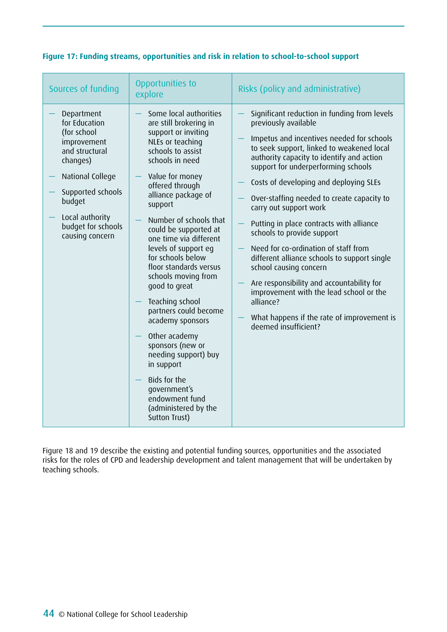| Sources of funding                                                                                                                                                                                     | Opportunities to<br>explore                                                                                                                                                                                                                                                                                                                                                                                                                                                                                                                                                                                                                   | Risks (policy and administrative)                                                                                                                                                                                                                                                                                                                                                                                                                                                                                                                                                                                                                                                                                                           |
|--------------------------------------------------------------------------------------------------------------------------------------------------------------------------------------------------------|-----------------------------------------------------------------------------------------------------------------------------------------------------------------------------------------------------------------------------------------------------------------------------------------------------------------------------------------------------------------------------------------------------------------------------------------------------------------------------------------------------------------------------------------------------------------------------------------------------------------------------------------------|---------------------------------------------------------------------------------------------------------------------------------------------------------------------------------------------------------------------------------------------------------------------------------------------------------------------------------------------------------------------------------------------------------------------------------------------------------------------------------------------------------------------------------------------------------------------------------------------------------------------------------------------------------------------------------------------------------------------------------------------|
| Department<br>for Education<br>(for school<br>improvement<br>and structural<br>changes)<br>National College<br>Supported schools<br>budget<br>Local authority<br>budget for schools<br>causing concern | Some local authorities<br>are still brokering in<br>support or inviting<br>NLEs or teaching<br>schools to assist<br>schools in need<br>Value for money<br>offered through<br>alliance package of<br>support<br>Number of schools that<br>could be supported at<br>one time via different<br>levels of support eg<br>for schools below<br>floor standards versus<br>schools moving from<br>good to great<br>Teaching school<br>partners could become<br>academy sponsors<br>Other academy<br>sponsors (new or<br>needing support) buy<br>in support<br>Bids for the<br>government's<br>endowment fund<br>(administered by the<br>Sutton Trust) | Significant reduction in funding from levels<br>previously available<br>Impetus and incentives needed for schools<br>to seek support, linked to weakened local<br>authority capacity to identify and action<br>support for underperforming schools<br>Costs of developing and deploying SLEs<br>Over-staffing needed to create capacity to<br>carry out support work<br>Putting in place contracts with alliance<br>schools to provide support<br>Need for co-ordination of staff from<br>different alliance schools to support single<br>school causing concern<br>Are responsibility and accountability for<br>improvement with the lead school or the<br>alliance?<br>What happens if the rate of improvement is<br>deemed insufficient? |

### **Figure 17: Funding streams, opportunities and risk in relation to school-to-school support**

Figure 18 and 19 describe the existing and potential funding sources, opportunities and the associated risks for the roles of CPD and leadership development and talent management that will be undertaken by teaching schools.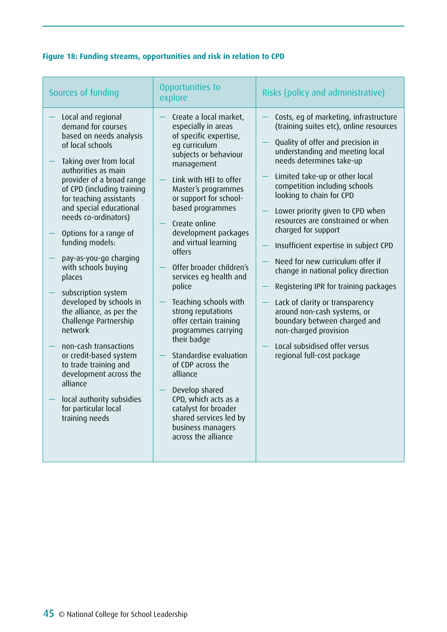## **Figure 18: Funding streams, opportunities and risk in relation to CPD**

| Sources of funding                                                                                                                                                                                                                                                                                                                                                                                                                                                                                                                                                                                                                                                                                   | Opportunities to<br>explore                                                                                                                                                                                                                                                                                                                                                                                                                                                                                                                                                                                                                                                                 | Risks (policy and administrative)                                                                                                                                                                                                                                                                                                                                                                                                                                                                                                                                                                                                                                                                                                           |
|------------------------------------------------------------------------------------------------------------------------------------------------------------------------------------------------------------------------------------------------------------------------------------------------------------------------------------------------------------------------------------------------------------------------------------------------------------------------------------------------------------------------------------------------------------------------------------------------------------------------------------------------------------------------------------------------------|---------------------------------------------------------------------------------------------------------------------------------------------------------------------------------------------------------------------------------------------------------------------------------------------------------------------------------------------------------------------------------------------------------------------------------------------------------------------------------------------------------------------------------------------------------------------------------------------------------------------------------------------------------------------------------------------|---------------------------------------------------------------------------------------------------------------------------------------------------------------------------------------------------------------------------------------------------------------------------------------------------------------------------------------------------------------------------------------------------------------------------------------------------------------------------------------------------------------------------------------------------------------------------------------------------------------------------------------------------------------------------------------------------------------------------------------------|
| Local and regional<br>demand for courses<br>based on needs analysis<br>of local schools<br>Taking over from local<br>authorities as main<br>provider of a broad range<br>of CPD (including training<br>for teaching assistants<br>and special educational<br>needs co-ordinators)<br>Options for a range of<br>funding models:<br>pay-as-you-go charging<br>with schools buying<br>places<br>subscription system<br>developed by schools in<br>the alliance, as per the<br>Challenge Partnership<br>network<br>non-cash transactions<br>or credit-based system<br>to trade training and<br>development across the<br>alliance<br>local authority subsidies<br>for particular local<br>training needs | Create a local market,<br>especially in areas<br>of specific expertise,<br>eg curriculum<br>subjects or behaviour<br>management<br>Link with HEI to offer<br>Master's programmes<br>or support for school-<br>based programmes<br>Create online<br>development packages<br>and virtual learning<br>offers<br>Offer broader children's<br>services eg health and<br>police<br>Teaching schools with<br>strong reputations<br>offer certain training<br>programmes carrying<br>their badge<br>Standardise evaluation<br>of CDP across the<br>alliance<br>Develop shared<br>CPD, which acts as a<br>catalyst for broader<br>shared services led by<br>business managers<br>across the alliance | Costs, eg of marketing, infrastructure<br>(training suites etc), online resources<br>Quality of offer and precision in<br>understanding and meeting local<br>needs determines take-up<br>Limited take-up or other local<br>competition including schools<br>looking to chain for CPD<br>Lower priority given to CPD when<br>resources are constrained or when<br>charged for support<br>Insufficient expertise in subject CPD<br>Need for new curriculum offer if<br>change in national policy direction<br>Registering IPR for training packages<br>Lack of clarity or transparency<br>around non-cash systems, or<br>boundary between charged and<br>non-charged provision<br>Local subsidised offer versus<br>regional full-cost package |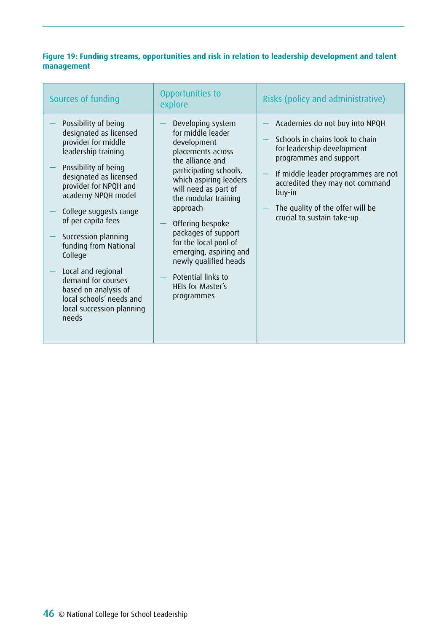### **Figure 19: Funding streams, opportunities and risk in relation to leadership development and talent management**

| Sources of funding                                                                                                                                                                                                                                                                                                                                                                                                                             | Opportunities to<br>explore                                                                                                                                                                                                                                                                                                                                                                           | Risks (policy and administrative)                                                                                                                                                                                                                                               |
|------------------------------------------------------------------------------------------------------------------------------------------------------------------------------------------------------------------------------------------------------------------------------------------------------------------------------------------------------------------------------------------------------------------------------------------------|-------------------------------------------------------------------------------------------------------------------------------------------------------------------------------------------------------------------------------------------------------------------------------------------------------------------------------------------------------------------------------------------------------|---------------------------------------------------------------------------------------------------------------------------------------------------------------------------------------------------------------------------------------------------------------------------------|
| Possibility of being<br>designated as licensed<br>provider for middle<br>leadership training<br>Possibility of being<br>designated as licensed<br>provider for NPQH and<br>academy NPQH model<br>College suggests range<br>of per capita fees<br>Succession planning<br>funding from National<br>College<br>Local and regional<br>demand for courses<br>based on analysis of<br>local schools' needs and<br>local succession planning<br>needs | Developing system<br>for middle leader<br>development<br>placements across<br>the alliance and<br>participating schools,<br>which aspiring leaders<br>will need as part of<br>the modular training<br>approach<br>Offering bespoke<br>packages of support<br>for the local pool of<br>emerging, aspiring and<br>newly qualified heads<br>Potential links to<br><b>HEIs for Master's</b><br>programmes | Academies do not buy into NPQH<br>Schools in chains look to chain<br>for leadership development<br>programmes and support<br>If middle leader programmes are not<br>accredited they may not command<br>buy-in<br>The quality of the offer will be<br>crucial to sustain take-up |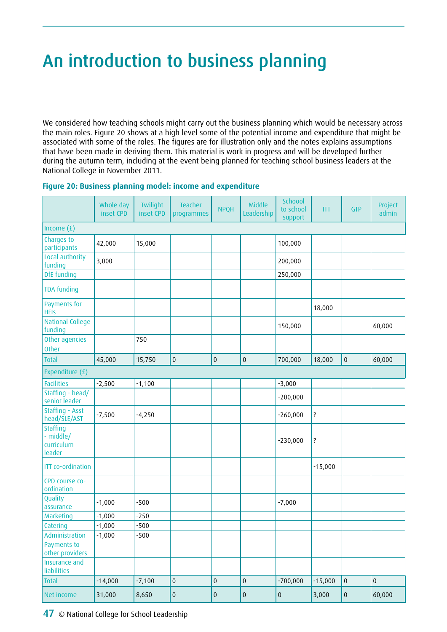# An introduction to business planning

We considered how teaching schools might carry out the business planning which would be necessary across the main roles. Figure 20 shows at a high level some of the potential income and expenditure that might be associated with some of the roles. The figures are for illustration only and the notes explains assumptions that have been made in deriving them. This material is work in progress and will be developed further during the autumn term, including at the event being planned for teaching school business leaders at the National College in November 2011.

|                                                      | Whole day<br>inset CPD | Twilight<br>inset CPD | Teacher<br>programmes | <b>NPQH</b> | Middle<br>Leadership | Schoool<br>to school<br>support | <b>ITT</b> | <b>GTP</b> | Project<br>admin |
|------------------------------------------------------|------------------------|-----------------------|-----------------------|-------------|----------------------|---------------------------------|------------|------------|------------------|
| Income $(f)$                                         |                        |                       |                       |             |                      |                                 |            |            |                  |
| Charges to<br>participants                           | 42,000                 | 15,000                |                       |             |                      | 100,000                         |            |            |                  |
| Local authority<br>funding                           | 3,000                  |                       |                       |             |                      | 200,000                         |            |            |                  |
| <b>DfE</b> funding                                   |                        |                       |                       |             |                      | 250,000                         |            |            |                  |
| <b>TDA funding</b>                                   |                        |                       |                       |             |                      |                                 |            |            |                  |
| Payments for<br><b>HEIs</b>                          |                        |                       |                       |             |                      |                                 | 18,000     |            |                  |
| <b>National College</b><br>funding                   |                        |                       |                       |             |                      | 150,000                         |            |            | 60,000           |
| Other agencies                                       |                        | 750                   |                       |             |                      |                                 |            |            |                  |
| <b>Other</b>                                         |                        |                       |                       |             |                      |                                 |            |            |                  |
| Total                                                | 45,000                 | 15,750                | $\pmb{0}$             | $\pmb{0}$   | $\pmb{0}$            | 700,000                         | 18,000     | $\pmb{0}$  | 60,000           |
| Expenditure (£)                                      |                        |                       |                       |             |                      |                                 |            |            |                  |
| <b>Facilities</b>                                    | $-2,500$               | $-1,100$              |                       |             |                      | $-3,000$                        |            |            |                  |
| Staffing - head/<br>senior leader                    |                        |                       |                       |             |                      | $-200,000$                      |            |            |                  |
| <b>Staffing - Asst</b><br>head/SLE/AST               | $-7,500$               | $-4,250$              |                       |             |                      | $-260,000$                      | ?          |            |                  |
| <b>Staffing</b><br>- middle/<br>curriculum<br>leader |                        |                       |                       |             |                      | $-230,000$                      | ?          |            |                  |
| <b>ITT</b> co-ordination                             |                        |                       |                       |             |                      |                                 | $-15,000$  |            |                  |
| CPD course co-<br>ordination                         |                        |                       |                       |             |                      |                                 |            |            |                  |
| Quality<br>assurance                                 | $-1,000$               | $-500$                |                       |             |                      | $-7,000$                        |            |            |                  |
| Marketing                                            | $-1,000$               | $-250$                |                       |             |                      |                                 |            |            |                  |
| Catering                                             | $-1,000$               | $-500$                |                       |             |                      |                                 |            |            |                  |
| Administration                                       | $-1,000$               | $-500$                |                       |             |                      |                                 |            |            |                  |
| Payments to<br>other providers                       |                        |                       |                       |             |                      |                                 |            |            |                  |
| Insurance and<br>liabilities                         |                        |                       |                       |             |                      |                                 |            |            |                  |
| Total                                                | $-14,000$              | $-7,100$              | $\pmb{0}$             | $\pmb{0}$   | $\pmb{0}$            | $-700,000$                      | $-15,000$  | $\pmb{0}$  | $\pmb{0}$        |
| Net income                                           | 31,000                 | 8,650                 | $\pmb{0}$             | $\pmb{0}$   | $\pmb{0}$            | $\pmb{0}$                       | 3,000      | $\pmb{0}$  | 60,000           |

### **Figure 20: Business planning model: income and expenditure**

47 © National College for School Leadership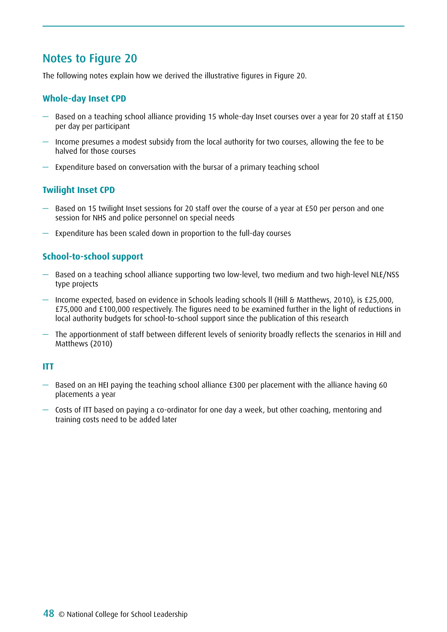## Notes to Figure 20

The following notes explain how we derived the illustrative figures in Figure 20.

### **Whole-day Inset CPD**

- Based on a teaching school alliance providing 15 whole-day Inset courses over a year for 20 staff at £150 per day per participant
- Income presumes a modest subsidy from the local authority for two courses, allowing the fee to be halved for those courses
- Expenditure based on conversation with the bursar of a primary teaching school

### **Twilight Inset CPD**

- Based on 15 twilight Inset sessions for 20 staff over the course of a year at £50 per person and one session for NHS and police personnel on special needs
- Expenditure has been scaled down in proportion to the full-day courses

### **School-to-school support**

- Based on a teaching school alliance supporting two low-level, two medium and two high-level NLE/NSS type projects
- Income expected, based on evidence in Schools leading schools ll (Hill & Matthews, 2010), is £25,000, £75,000 and £100,000 respectively. The figures need to be examined further in the light of reductions in local authority budgets for school-to-school support since the publication of this research
- The apportionment of staff between different levels of seniority broadly reflects the scenarios in Hill and Matthews (2010)

### **ITT**

- Based on an HEI paying the teaching school alliance £300 per placement with the alliance having 60 placements a year
- Costs of ITT based on paying a co-ordinator for one day a week, but other coaching, mentoring and training costs need to be added later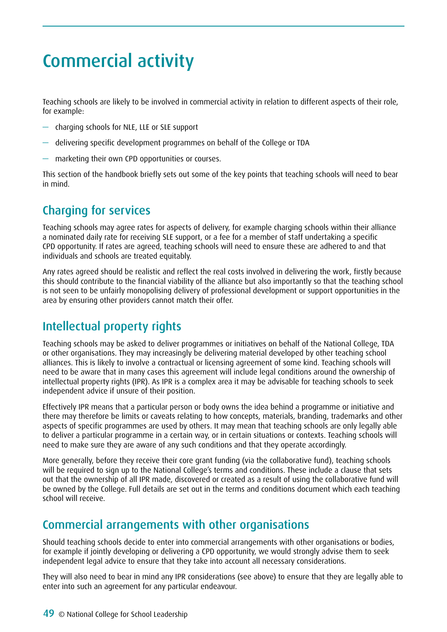# Commercial activity

Teaching schools are likely to be involved in commercial activity in relation to different aspects of their role, for example:

- charging schools for NLE, LLE or SLE support
- delivering specific development programmes on behalf of the College or TDA
- marketing their own CPD opportunities or courses.

This section of the handbook briefly sets out some of the key points that teaching schools will need to bear in mind.

# Charging for services

Teaching schools may agree rates for aspects of delivery, for example charging schools within their alliance a nominated daily rate for receiving SLE support, or a fee for a member of staff undertaking a specific CPD opportunity. If rates are agreed, teaching schools will need to ensure these are adhered to and that individuals and schools are treated equitably.

Any rates agreed should be realistic and reflect the real costs involved in delivering the work, firstly because this should contribute to the financial viability of the alliance but also importantly so that the teaching school is not seen to be unfairly monopolising delivery of professional development or support opportunities in the area by ensuring other providers cannot match their offer.

# Intellectual property rights

Teaching schools may be asked to deliver programmes or initiatives on behalf of the National College, TDA or other organisations. They may increasingly be delivering material developed by other teaching school alliances. This is likely to involve a contractual or licensing agreement of some kind. Teaching schools will need to be aware that in many cases this agreement will include legal conditions around the ownership of intellectual property rights (IPR). As IPR is a complex area it may be advisable for teaching schools to seek independent advice if unsure of their position.

Effectively IPR means that a particular person or body owns the idea behind a programme or initiative and there may therefore be limits or caveats relating to how concepts, materials, branding, trademarks and other aspects of specific programmes are used by others. It may mean that teaching schools are only legally able to deliver a particular programme in a certain way, or in certain situations or contexts. Teaching schools will need to make sure they are aware of any such conditions and that they operate accordingly.

More generally, before they receive their core grant funding (via the collaborative fund), teaching schools will be required to sign up to the National College's terms and conditions. These include a clause that sets out that the ownership of all IPR made, discovered or created as a result of using the collaborative fund will be owned by the College. Full details are set out in the terms and conditions document which each teaching school will receive.

## Commercial arrangements with other organisations

Should teaching schools decide to enter into commercial arrangements with other organisations or bodies, for example if jointly developing or delivering a CPD opportunity, we would strongly advise them to seek independent legal advice to ensure that they take into account all necessary considerations.

They will also need to bear in mind any IPR considerations (see above) to ensure that they are legally able to enter into such an agreement for any particular endeavour.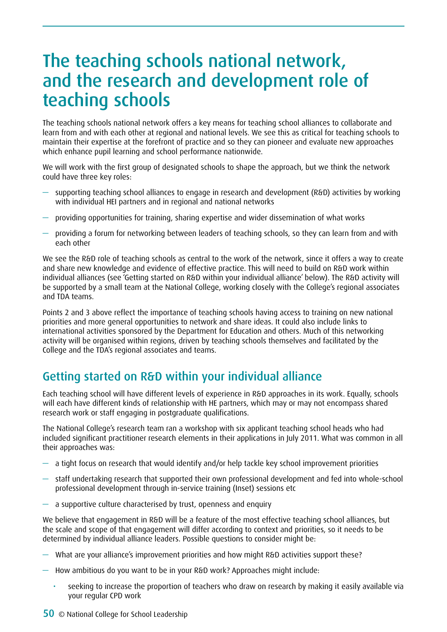# The teaching schools national network, and the research and development role of teaching schools

The teaching schools national network offers a key means for teaching school alliances to collaborate and learn from and with each other at regional and national levels. We see this as critical for teaching schools to maintain their expertise at the forefront of practice and so they can pioneer and evaluate new approaches which enhance pupil learning and school performance nationwide.

We will work with the first group of designated schools to shape the approach, but we think the network could have three key roles:

- supporting teaching school alliances to engage in research and development (R&D) activities by working with individual HEI partners and in regional and national networks
- providing opportunities for training, sharing expertise and wider dissemination of what works
- providing a forum for networking between leaders of teaching schools, so they can learn from and with each other

We see the R&D role of teaching schools as central to the work of the network, since it offers a way to create and share new knowledge and evidence of effective practice. This will need to build on R&D work within individual alliances (see 'Getting started on R&D within your individual alliance' below). The R&D activity will be supported by a small team at the National College, working closely with the College's regional associates and TDA teams.

Points 2 and 3 above reflect the importance of teaching schools having access to training on new national priorities and more general opportunities to network and share ideas. It could also include links to international activities sponsored by the Department for Education and others. Much of this networking activity will be organised within regions, driven by teaching schools themselves and facilitated by the College and the TDA's regional associates and teams.

# Getting started on R&D within your individual alliance

Each teaching school will have different levels of experience in R&D approaches in its work. Equally, schools will each have different kinds of relationship with HE partners, which may or may not encompass shared research work or staff engaging in postgraduate qualifications.

The National College's research team ran a workshop with six applicant teaching school heads who had included significant practitioner research elements in their applications in July 2011. What was common in all their approaches was:

- a tight focus on research that would identify and/or help tackle key school improvement priorities
- staff undertaking research that supported their own professional development and fed into whole-school professional development through in-service training (Inset) sessions etc
- $-$  a supportive culture characterised by trust, openness and enquiry

We believe that engagement in R&D will be a feature of the most effective teaching school alliances, but the scale and scope of that engagement will differ according to context and priorities, so it needs to be determined by individual alliance leaders. Possible questions to consider might be:

- What are your alliance's improvement priorities and how might R&D activities support these?
- How ambitious do you want to be in your R&D work? Approaches might include:
	- seeking to increase the proportion of teachers who draw on research by making it easily available via your regular CPD work
- 50 © National College for School Leadership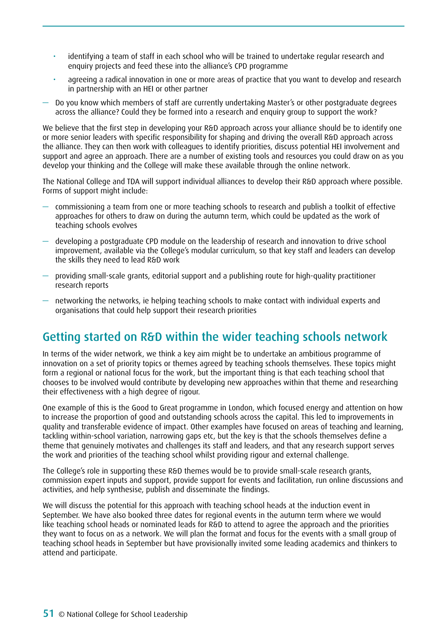- identifying a team of staff in each school who will be trained to undertake regular research and enquiry projects and feed these into the alliance's CPD programme
- agreeing a radical innovation in one or more areas of practice that you want to develop and research in partnership with an HEI or other partner
- Do you know which members of staff are currently undertaking Master's or other postgraduate degrees across the alliance? Could they be formed into a research and enquiry group to support the work?

We believe that the first step in developing your R&D approach across your alliance should be to identify one or more senior leaders with specific responsibility for shaping and driving the overall R&D approach across the alliance. They can then work with colleagues to identify priorities, discuss potential HEI involvement and support and agree an approach. There are a number of existing tools and resources you could draw on as you develop your thinking and the College will make these available through the online network.

The National College and TDA will support individual alliances to develop their R&D approach where possible. Forms of support might include:

- commissioning a team from one or more teaching schools to research and publish a toolkit of effective approaches for others to draw on during the autumn term, which could be updated as the work of teaching schools evolves
- developing a postgraduate CPD module on the leadership of research and innovation to drive school improvement, available via the College's modular curriculum, so that key staff and leaders can develop the skills they need to lead R&D work
- providing small-scale grants, editorial support and a publishing route for high-quality practitioner research reports
- networking the networks, ie helping teaching schools to make contact with individual experts and organisations that could help support their research priorities

## Getting started on R&D within the wider teaching schools network

In terms of the wider network, we think a key aim might be to undertake an ambitious programme of innovation on a set of priority topics or themes agreed by teaching schools themselves. These topics might form a regional or national focus for the work, but the important thing is that each teaching school that chooses to be involved would contribute by developing new approaches within that theme and researching their effectiveness with a high degree of rigour.

One example of this is the Good to Great programme in London, which focused energy and attention on how to increase the proportion of good and outstanding schools across the capital. This led to improvements in quality and transferable evidence of impact. Other examples have focused on areas of teaching and learning, tackling within-school variation, narrowing gaps etc, but the key is that the schools themselves define a theme that genuinely motivates and challenges its staff and leaders, and that any research support serves the work and priorities of the teaching school whilst providing rigour and external challenge.

The College's role in supporting these R&D themes would be to provide small-scale research grants, commission expert inputs and support, provide support for events and facilitation, run online discussions and activities, and help synthesise, publish and disseminate the findings.

We will discuss the potential for this approach with teaching school heads at the induction event in September. We have also booked three dates for regional events in the autumn term where we would like teaching school heads or nominated leads for R&D to attend to agree the approach and the priorities they want to focus on as a network. We will plan the format and focus for the events with a small group of teaching school heads in September but have provisionally invited some leading academics and thinkers to attend and participate.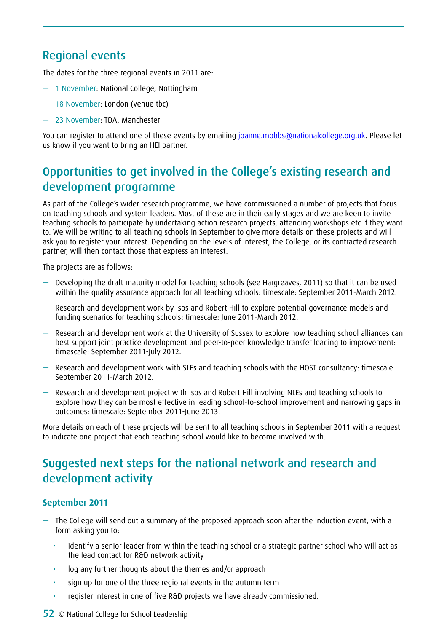# Regional events

The dates for the three regional events in 2011 are:

- 1 November: National College, Nottingham
- 18 November: London (venue tbc)
- 23 November: TDA, Manchester

You can register to attend one of these events by emailing [joanne.mobbs@nationalcollege.org.uk.](mailto:joanne.mobbs@nationalcollege.org.uk) Please let us know if you want to bring an HEI partner.

# Opportunities to get involved in the College's existing research and development programme

As part of the College's wider research programme, we have commissioned a number of projects that focus on teaching schools and system leaders. Most of these are in their early stages and we are keen to invite teaching schools to participate by undertaking action research projects, attending workshops etc if they want to. We will be writing to all teaching schools in September to give more details on these projects and will ask you to register your interest. Depending on the levels of interest, the College, or its contracted research partner, will then contact those that express an interest.

The projects are as follows:

- Developing the draft maturity model for teaching schools (see Hargreaves, 2011) so that it can be used within the quality assurance approach for all teaching schools: timescale: September 2011-March 2012.
- Research and development work by Isos and Robert Hill to explore potential governance models and funding scenarios for teaching schools: timescale: June 2011-March 2012.
- Research and development work at the University of Sussex to explore how teaching school alliances can best support joint practice development and peer-to-peer knowledge transfer leading to improvement: timescale: September 2011-July 2012.
- Research and development work with SLEs and teaching schools with the HOST consultancy: timescale September 2011-March 2012.
- Research and development project with Isos and Robert Hill involving NLEs and teaching schools to explore how they can be most effective in leading school-to-school improvement and narrowing gaps in outcomes: timescale: September 2011-June 2013.

More details on each of these projects will be sent to all teaching schools in September 2011 with a request to indicate one project that each teaching school would like to become involved with.

# Suggested next steps for the national network and research and development activity

### **September 2011**

- The College will send out a summary of the proposed approach soon after the induction event, with a form asking you to:
	- identify a senior leader from within the teaching school or a strategic partner school who will act as the lead contact for R&D network activity
	- log any further thoughts about the themes and/or approach
	- sign up for one of the three regional events in the autumn term
	- • register interest in one of five R&D projects we have already commissioned.
- 52 © National College for School Leadership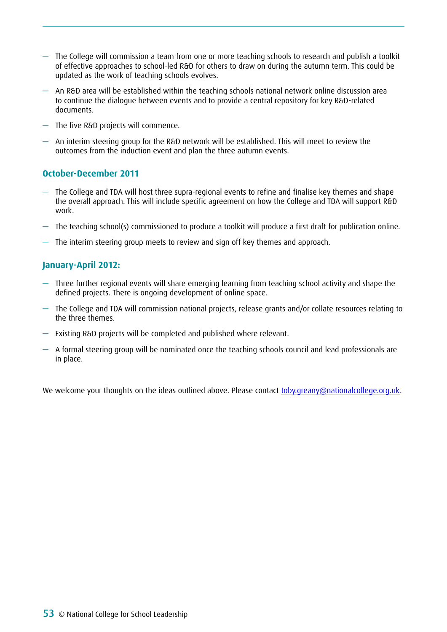- The College will commission a team from one or more teaching schools to research and publish a toolkit of effective approaches to school-led R&D for others to draw on during the autumn term. This could be updated as the work of teaching schools evolves.
- An R&D area will be established within the teaching schools national network online discussion area to continue the dialogue between events and to provide a central repository for key R&D-related documents.
- The five R&D projects will commence.
- $-$  An interim steering group for the R&D network will be established. This will meet to review the outcomes from the induction event and plan the three autumn events.

### **October-December 2011**

- The College and TDA will host three supra-regional events to refine and finalise key themes and shape the overall approach. This will include specific agreement on how the College and TDA will support R&D work.
- The teaching school(s) commissioned to produce a toolkit will produce a first draft for publication online.
- The interim steering group meets to review and sign off key themes and approach.

### **January-April 2012:**

- Three further regional events will share emerging learning from teaching school activity and shape the defined projects. There is ongoing development of online space.
- The College and TDA will commission national projects, release grants and/or collate resources relating to the three themes.
- Existing R&D projects will be completed and published where relevant.
- $-$  A formal steering group will be nominated once the teaching schools council and lead professionals are in place.

We welcome your thoughts on the ideas outlined above. Please contact [toby.greany@nationalcollege.org.uk.](mailto:toby.greany@nationalcollege.org.uk)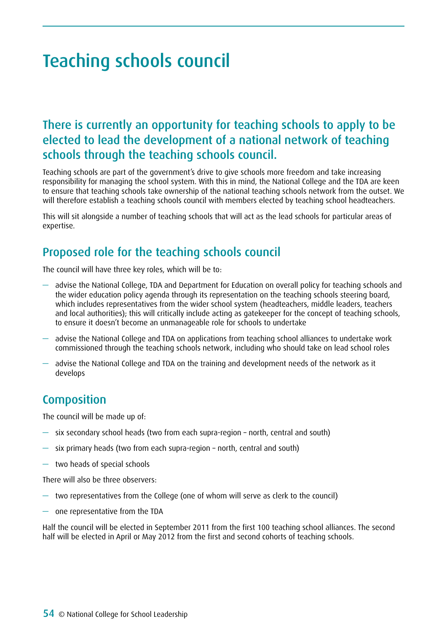# Teaching schools council

## There is currently an opportunity for teaching schools to apply to be elected to lead the development of a national network of teaching schools through the teaching schools council.

Teaching schools are part of the government's drive to give schools more freedom and take increasing responsibility for managing the school system. With this in mind, the National College and the TDA are keen to ensure that teaching schools take ownership of the national teaching schools network from the outset. We will therefore establish a teaching schools council with members elected by teaching school headteachers.

This will sit alongside a number of teaching schools that will act as the lead schools for particular areas of expertise.

## Proposed role for the teaching schools council

The council will have three key roles, which will be to:

- advise the National College, TDA and Department for Education on overall policy for teaching schools and the wider education policy agenda through its representation on the teaching schools steering board, which includes representatives from the wider school system (headteachers, middle leaders, teachers and local authorities); this will critically include acting as gatekeeper for the concept of teaching schools, to ensure it doesn't become an unmanageable role for schools to undertake
- advise the National College and TDA on applications from teaching school alliances to undertake work commissioned through the teaching schools network, including who should take on lead school roles
- advise the National College and TDA on the training and development needs of the network as it develops

## Composition

The council will be made up of:

- six secondary school heads (two from each supra-region north, central and south)
- six primary heads (two from each supra-region north, central and south)
- two heads of special schools

There will also be three observers:

- two representatives from the College (one of whom will serve as clerk to the council)
- one representative from the TDA

Half the council will be elected in September 2011 from the first 100 teaching school alliances. The second half will be elected in April or May 2012 from the first and second cohorts of teaching schools.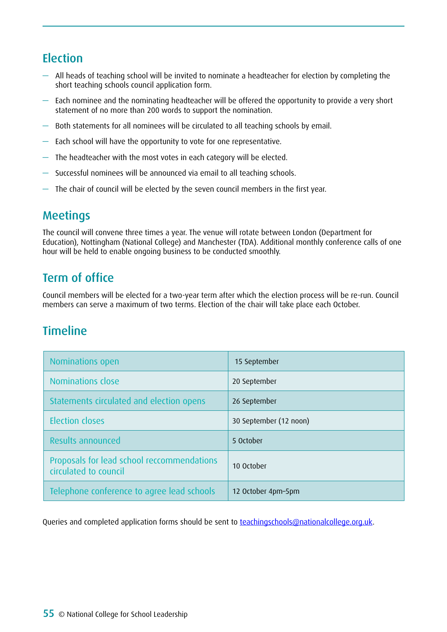## Election

- All heads of teaching school will be invited to nominate a headteacher for election by completing the short teaching schools council application form.
- Each nominee and the nominating headteacher will be offered the opportunity to provide a very short statement of no more than 200 words to support the nomination.
- Both statements for all nominees will be circulated to all teaching schools by email.
- Each school will have the opportunity to vote for one representative.
- The headteacher with the most votes in each category will be elected.
- Successful nominees will be announced via email to all teaching schools.
- The chair of council will be elected by the seven council members in the first year.

## Meetings

The council will convene three times a year. The venue will rotate between London (Department for Education), Nottingham (National College) and Manchester (TDA). Additional monthly conference calls of one hour will be held to enable ongoing business to be conducted smoothly.

# Term of office

Council members will be elected for a two-year term after which the election process will be re-run. Council members can serve a maximum of two terms. Election of the chair will take place each October.

## **Timeline**

| Nominations open                                                    | 15 September           |
|---------------------------------------------------------------------|------------------------|
| Nominations close                                                   | 20 September           |
| Statements circulated and election opens                            | 26 September           |
| <b>Election closes</b>                                              | 30 September (12 noon) |
| Results announced                                                   | 5 October              |
| Proposals for lead school reccommendations<br>circulated to council | 10 October             |
| Telephone conference to agree lead schools                          | 12 October 4pm-5pm     |

Queries and completed application forms should be sent to [teachingschools@nationalcollege.org.uk](mailto:teachingschools@nationalcollege.org.uk).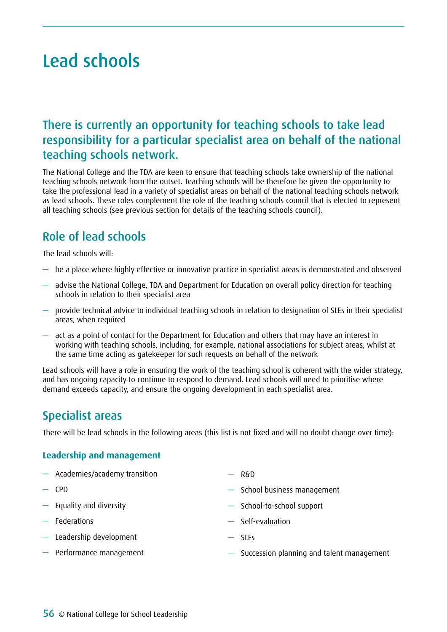# Lead schools

## There is currently an opportunity for teaching schools to take lead responsibility for a particular specialist area on behalf of the national teaching schools network.

The National College and the TDA are keen to ensure that teaching schools take ownership of the national teaching schools network from the outset. Teaching schools will be therefore be given the opportunity to take the professional lead in a variety of specialist areas on behalf of the national teaching schools network as lead schools. These roles complement the role of the teaching schools council that is elected to represent all teaching schools (see previous section for details of the teaching schools council).

# Role of lead schools

The lead schools will:

- be a place where highly effective or innovative practice in specialist areas is demonstrated and observed
- advise the National College, TDA and Department for Education on overall policy direction for teaching schools in relation to their specialist area
- provide technical advice to individual teaching schools in relation to designation of SLEs in their specialist areas, when required
- act as a point of contact for the Department for Education and others that may have an interest in working with teaching schools, including, for example, national associations for subject areas, whilst at the same time acting as gatekeeper for such requests on behalf of the network

Lead schools will have a role in ensuring the work of the teaching school is coherent with the wider strategy, and has ongoing capacity to continue to respond to demand. Lead schools will need to prioritise where demand exceeds capacity, and ensure the ongoing development in each specialist area.

## Specialist areas

There will be lead schools in the following areas (this list is not fixed and will no doubt change over time):

### **Leadership and management**

- Academies/academy transition
- CPD
- Equality and diversity
- Federations
- Leadership development
- Performance management
- $-$  R&D
- School business management
- School-to-school support
- Self-evaluation
- SLEs
- Succession planning and talent management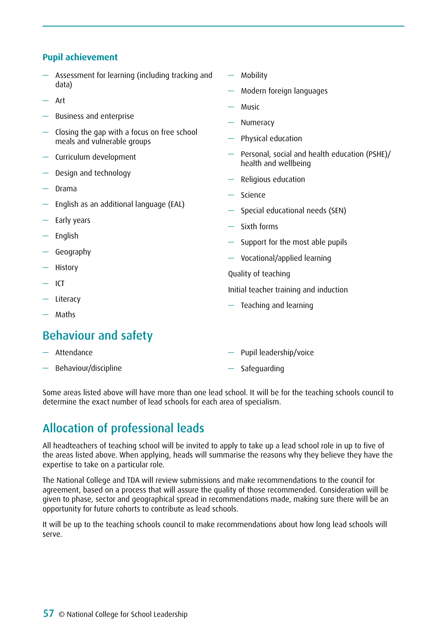### **Pupil achievement**

- Assessment for learning (including tracking and data)
- Art
- Business and enterprise
- Closing the gap with a focus on free school meals and vulnerable groups
- Curriculum development
- Design and technology
- Drama
- English as an additional language (EAL)
- Early years
- English
- Geography
- History
- $-$  ICT
- Literacy
- Maths

## Behaviour and safety

- Attendance
- Behaviour/discipline
- Mobility
- Modern foreign languages
- Music
- Numeracy
- Physical education
- Personal, social and health education (PSHE)/ health and wellbeing
- Religious education
- **Science**
- Special educational needs (SEN)
- Sixth forms
- Support for the most able pupils
- Vocational/applied learning

#### Quality of teaching

- Initial teacher training and induction
- Teaching and learning
- Pupil leadership/voice
- Safeguarding

Some areas listed above will have more than one lead school. It will be for the teaching schools council to determine the exact number of lead schools for each area of specialism.

# Allocation of professional leads

All headteachers of teaching school will be invited to apply to take up a lead school role in up to five of the areas listed above. When applying, heads will summarise the reasons why they believe they have the expertise to take on a particular role.

The National College and TDA will review submissions and make recommendations to the council for agreement, based on a process that will assure the quality of those recommended. Consideration will be given to phase, sector and geographical spread in recommendations made, making sure there will be an opportunity for future cohorts to contribute as lead schools.

It will be up to the teaching schools council to make recommendations about how long lead schools will serve.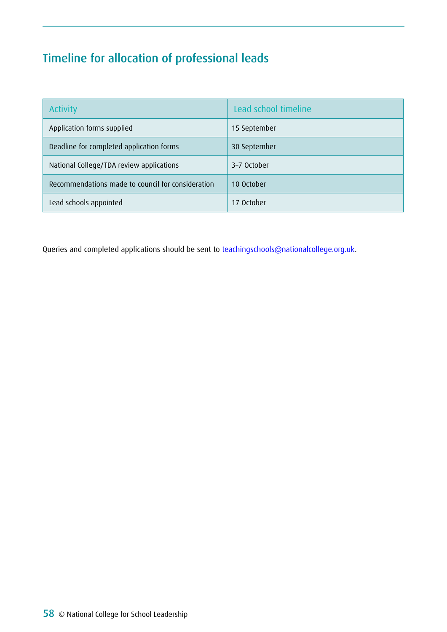# Timeline for allocation of professional leads

| <b>Activity</b>                                   | Lead school timeline |
|---------------------------------------------------|----------------------|
| Application forms supplied                        | 15 September         |
| Deadline for completed application forms          | 30 September         |
| National College/TDA review applications          | 3-7 October          |
| Recommendations made to council for consideration | 10 October           |
| Lead schools appointed                            | 17 October           |

Queries and completed applications should be sent to **teachingschools@nationalcollege.org.uk**.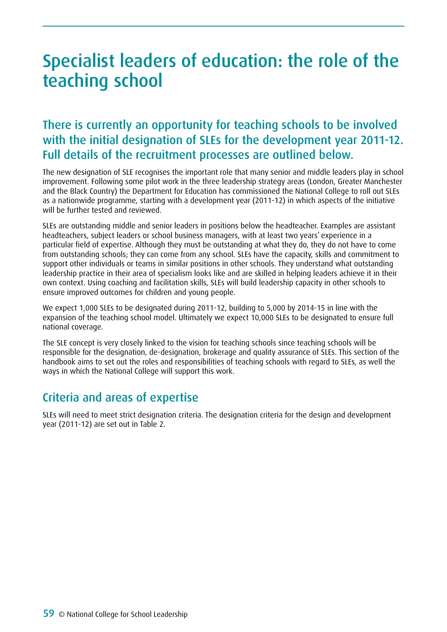# Specialist leaders of education: the role of the teaching school

# There is currently an opportunity for teaching schools to be involved with the initial designation of SLEs for the development year 2011-12. Full details of the recruitment processes are outlined below.

The new designation of SLE recognises the important role that many senior and middle leaders play in school improvement. Following some pilot work in the three leadership strategy areas (London, Greater Manchester and the Black Country) the Department for Education has commissioned the National College to roll out SLEs as a nationwide programme, starting with a development year (2011-12) in which aspects of the initiative will be further tested and reviewed.

SLEs are outstanding middle and senior leaders in positions below the headteacher. Examples are assistant headteachers, subject leaders or school business managers, with at least two years' experience in a particular field of expertise. Although they must be outstanding at what they do, they do not have to come from outstanding schools; they can come from any school. SLEs have the capacity, skills and commitment to support other individuals or teams in similar positions in other schools. They understand what outstanding leadership practice in their area of specialism looks like and are skilled in helping leaders achieve it in their own context. Using coaching and facilitation skills, SLEs will build leadership capacity in other schools to ensure improved outcomes for children and young people.

We expect 1,000 SLEs to be designated during 2011-12, building to 5,000 by 2014-15 in line with the expansion of the teaching school model. Ultimately we expect 10,000 SLEs to be designated to ensure full national coverage.

The SLE concept is very closely linked to the vision for teaching schools since teaching schools will be responsible for the designation, de-designation, brokerage and quality assurance of SLEs. This section of the handbook aims to set out the roles and responsibilities of teaching schools with regard to SLEs, as well the ways in which the National College will support this work.

## Criteria and areas of expertise

SLEs will need to meet strict designation criteria. The designation criteria for the design and development year (2011-12) are set out in Table 2.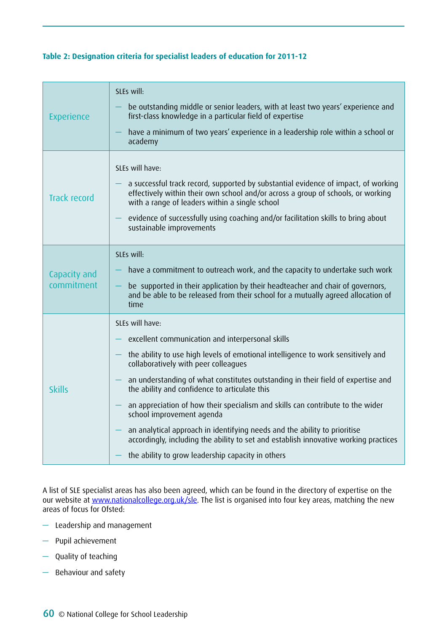### **Table 2: Designation criteria for specialist leaders of education for 2011-12**

| <b>Experience</b>          | SLEs will:<br>be outstanding middle or senior leaders, with at least two years' experience and<br>first-class knowledge in a particular field of expertise<br>have a minimum of two years' experience in a leadership role within a school or<br>academy                                                                                                                                                                                                                                                                                                                                                                                                                      |
|----------------------------|-------------------------------------------------------------------------------------------------------------------------------------------------------------------------------------------------------------------------------------------------------------------------------------------------------------------------------------------------------------------------------------------------------------------------------------------------------------------------------------------------------------------------------------------------------------------------------------------------------------------------------------------------------------------------------|
| <b>Track record</b>        | SLEs will have:<br>a successful track record, supported by substantial evidence of impact, of working<br>effectively within their own school and/or across a group of schools, or working<br>with a range of leaders within a single school<br>evidence of successfully using coaching and/or facilitation skills to bring about<br>sustainable improvements                                                                                                                                                                                                                                                                                                                  |
| Capacity and<br>commitment | SLEs will:<br>have a commitment to outreach work, and the capacity to undertake such work<br>be supported in their application by their headteacher and chair of governors,<br>and be able to be released from their school for a mutually agreed allocation of<br>time                                                                                                                                                                                                                                                                                                                                                                                                       |
| <b>Skills</b>              | SLEs will have:<br>excellent communication and interpersonal skills<br>the ability to use high levels of emotional intelligence to work sensitively and<br>collaboratively with peer colleagues<br>an understanding of what constitutes outstanding in their field of expertise and<br>the ability and confidence to articulate this<br>an appreciation of how their specialism and skills can contribute to the wider<br>school improvement agenda<br>an analytical approach in identifying needs and the ability to prioritise<br>accordingly, including the ability to set and establish innovative working practices<br>the ability to grow leadership capacity in others |

A list of SLE specialist areas has also been agreed, which can be found in the directory of expertise on the our website at <u>www.nationalcollege.org.uk/sle</u>. The list is organised into four key areas, matching the new areas of focus for Ofsted:

- Leadership and management
- Pupil achievement
- Quality of teaching
- Behaviour and safety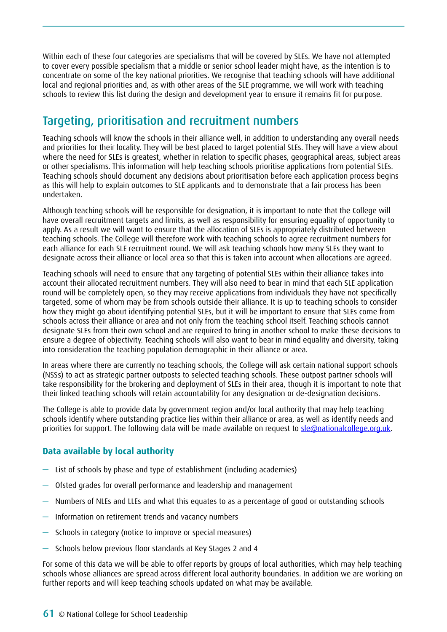Within each of these four categories are specialisms that will be covered by SLEs. We have not attempted to cover every possible specialism that a middle or senior school leader might have, as the intention is to concentrate on some of the key national priorities. We recognise that teaching schools will have additional local and regional priorities and, as with other areas of the SLE programme, we will work with teaching schools to review this list during the design and development year to ensure it remains fit for purpose.

## Targeting, prioritisation and recruitment numbers

Teaching schools will know the schools in their alliance well, in addition to understanding any overall needs and priorities for their locality. They will be best placed to target potential SLEs. They will have a view about where the need for SLEs is greatest, whether in relation to specific phases, geographical areas, subject areas or other specialisms. This information will help teaching schools prioritise applications from potential SLEs. Teaching schools should document any decisions about prioritisation before each application process begins as this will help to explain outcomes to SLE applicants and to demonstrate that a fair process has been undertaken.

Although teaching schools will be responsible for designation, it is important to note that the College will have overall recruitment targets and limits, as well as responsibility for ensuring equality of opportunity to apply. As a result we will want to ensure that the allocation of SLEs is appropriately distributed between teaching schools. The College will therefore work with teaching schools to agree recruitment numbers for each alliance for each SLE recruitment round. We will ask teaching schools how many SLEs they want to designate across their alliance or local area so that this is taken into account when allocations are agreed.

Teaching schools will need to ensure that any targeting of potential SLEs within their alliance takes into account their allocated recruitment numbers. They will also need to bear in mind that each SLE application round will be completely open, so they may receive applications from individuals they have not specifically targeted, some of whom may be from schools outside their alliance. It is up to teaching schools to consider how they might go about identifying potential SLEs, but it will be important to ensure that SLEs come from schools across their alliance or area and not only from the teaching school itself. Teaching schools cannot designate SLEs from their own school and are required to bring in another school to make these decisions to ensure a degree of objectivity. Teaching schools will also want to bear in mind equality and diversity, taking into consideration the teaching population demographic in their alliance or area.

In areas where there are currently no teaching schools, the College will ask certain national support schools (NSSs) to act as strategic partner outposts to selected teaching schools. These outpost partner schools will take responsibility for the brokering and deployment of SLEs in their area, though it is important to note that their linked teaching schools will retain accountability for any designation or de-designation decisions.

The College is able to provide data by government region and/or local authority that may help teaching schools identify where outstanding practice lies within their alliance or area, as well as identify needs and priorities for support. The following data will be made available on request to [sle@nationalcollege.org.uk](mailto:sle@nationalcollege.org.uk).

## **Data available by local authority**

- List of schools by phase and type of establishment (including academies)
- Ofsted grades for overall performance and leadership and management
- Numbers of NLEs and LLEs and what this equates to as a percentage of good or outstanding schools
- Information on retirement trends and vacancy numbers
- Schools in category (notice to improve or special measures)
- Schools below previous floor standards at Key Stages 2 and 4

For some of this data we will be able to offer reports by groups of local authorities, which may help teaching schools whose alliances are spread across different local authority boundaries. In addition we are working on further reports and will keep teaching schools updated on what may be available.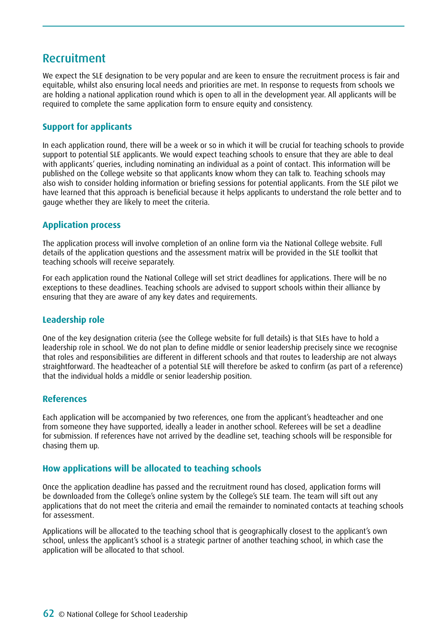## Recruitment

We expect the SLE designation to be very popular and are keen to ensure the recruitment process is fair and equitable, whilst also ensuring local needs and priorities are met. In response to requests from schools we are holding a national application round which is open to all in the development year. All applicants will be required to complete the same application form to ensure equity and consistency.

## **Support for applicants**

In each application round, there will be a week or so in which it will be crucial for teaching schools to provide support to potential SLE applicants. We would expect teaching schools to ensure that they are able to deal with applicants' queries, including nominating an individual as a point of contact. This information will be published on the College website so that applicants know whom they can talk to. Teaching schools may also wish to consider holding information or briefing sessions for potential applicants. From the SLE pilot we have learned that this approach is beneficial because it helps applicants to understand the role better and to gauge whether they are likely to meet the criteria.

### **Application process**

The application process will involve completion of an online form via the National College website. Full details of the application questions and the assessment matrix will be provided in the SLE toolkit that teaching schools will receive separately.

For each application round the National College will set strict deadlines for applications. There will be no exceptions to these deadlines. Teaching schools are advised to support schools within their alliance by ensuring that they are aware of any key dates and requirements.

### **Leadership role**

One of the key designation criteria (see the College website for full details) is that SLEs have to hold a leadership role in school. We do not plan to define middle or senior leadership precisely since we recognise that roles and responsibilities are different in different schools and that routes to leadership are not always straightforward. The headteacher of a potential SLE will therefore be asked to confirm (as part of a reference) that the individual holds a middle or senior leadership position.

### **References**

Each application will be accompanied by two references, one from the applicant's headteacher and one from someone they have supported, ideally a leader in another school. Referees will be set a deadline for submission. If references have not arrived by the deadline set, teaching schools will be responsible for chasing them up.

### **How applications will be allocated to teaching schools**

Once the application deadline has passed and the recruitment round has closed, application forms will be downloaded from the College's online system by the College's SLE team. The team will sift out any applications that do not meet the criteria and email the remainder to nominated contacts at teaching schools for assessment.

Applications will be allocated to the teaching school that is geographically closest to the applicant's own school, unless the applicant's school is a strategic partner of another teaching school, in which case the application will be allocated to that school.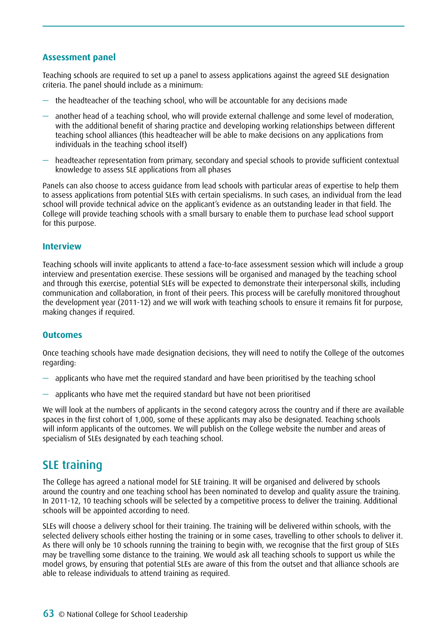### **Assessment panel**

Teaching schools are required to set up a panel to assess applications against the agreed SLE designation criteria. The panel should include as a minimum:

- $-$  the headteacher of the teaching school, who will be accountable for any decisions made
- another head of a teaching school, who will provide external challenge and some level of moderation, with the additional benefit of sharing practice and developing working relationships between different teaching school alliances (this headteacher will be able to make decisions on any applications from individuals in the teaching school itself)
- headteacher representation from primary, secondary and special schools to provide sufficient contextual knowledge to assess SLE applications from all phases

Panels can also choose to access guidance from lead schools with particular areas of expertise to help them to assess applications from potential SLEs with certain specialisms. In such cases, an individual from the lead school will provide technical advice on the applicant's evidence as an outstanding leader in that field. The College will provide teaching schools with a small bursary to enable them to purchase lead school support for this purpose.

#### **Interview**

Teaching schools will invite applicants to attend a face-to-face assessment session which will include a group interview and presentation exercise. These sessions will be organised and managed by the teaching school and through this exercise, potential SLEs will be expected to demonstrate their interpersonal skills, including communication and collaboration, in front of their peers. This process will be carefully monitored throughout the development year (2011-12) and we will work with teaching schools to ensure it remains fit for purpose, making changes if required.

#### **Outcomes**

Once teaching schools have made designation decisions, they will need to notify the College of the outcomes regarding:

- applicants who have met the required standard and have been prioritised by the teaching school
- applicants who have met the required standard but have not been prioritised

We will look at the numbers of applicants in the second category across the country and if there are available spaces in the first cohort of 1,000, some of these applicants may also be designated. Teaching schools will inform applicants of the outcomes. We will publish on the College website the number and areas of specialism of SLEs designated by each teaching school.

## SLE training

The College has agreed a national model for SLE training. It will be organised and delivered by schools around the country and one teaching school has been nominated to develop and quality assure the training. In 2011-12, 10 teaching schools will be selected by a competitive process to deliver the training. Additional schools will be appointed according to need.

SLEs will choose a delivery school for their training. The training will be delivered within schools, with the selected delivery schools either hosting the training or in some cases, travelling to other schools to deliver it. As there will only be 10 schools running the training to begin with, we recognise that the first group of SLEs may be travelling some distance to the training. We would ask all teaching schools to support us while the model grows, by ensuring that potential SLEs are aware of this from the outset and that alliance schools are able to release individuals to attend training as required.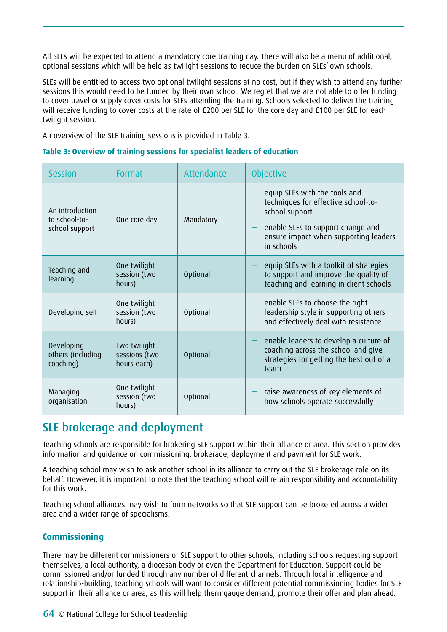All SLEs will be expected to attend a mandatory core training day. There will also be a menu of additional, optional sessions which will be held as twilight sessions to reduce the burden on SLEs' own schools.

SLEs will be entitled to access two optional twilight sessions at no cost, but if they wish to attend any further sessions this would need to be funded by their own school. We regret that we are not able to offer funding to cover travel or supply cover costs for SLEs attending the training. Schools selected to deliver the training will receive funding to cover costs at the rate of £200 per SLE for the core day and £100 per SLE for each twilight session.

An overview of the SLE training sessions is provided in Table 3.

### **Table 3: Overview of training sessions for specialist leaders of education**

| <b>Session</b>                                     | Format                                       | Attendance      | <b>Objective</b>                                                                                                                                                                   |
|----------------------------------------------------|----------------------------------------------|-----------------|------------------------------------------------------------------------------------------------------------------------------------------------------------------------------------|
| An introduction<br>to school-to-<br>school support | One core day                                 | Mandatory       | equip SLEs with the tools and<br>techniques for effective school-to-<br>school support<br>enable SLEs to support change and<br>ensure impact when supporting leaders<br>in schools |
| Teaching and<br>learning                           | One twilight<br>session (two<br>hours)       | Optional        | equip SLEs with a toolkit of strategies<br>to support and improve the quality of<br>teaching and learning in client schools                                                        |
| Developing self                                    | One twilight<br>session (two<br>hours)       | Optional        | enable SLEs to choose the right<br>leadership style in supporting others<br>and effectively deal with resistance                                                                   |
| Developing<br>others (including<br>coaching)       | Two twilight<br>sessions (two<br>hours each) | Optional        | enable leaders to develop a culture of<br>coaching across the school and give<br>strategies for getting the best out of a<br>team                                                  |
| Managing<br>organisation                           | One twilight<br>session (two<br>hours)       | <b>Optional</b> | raise awareness of key elements of<br>how schools operate successfully                                                                                                             |

## SLE brokerage and deployment

Teaching schools are responsible for brokering SLE support within their alliance or area. This section provides information and guidance on commissioning, brokerage, deployment and payment for SLE work.

A teaching school may wish to ask another school in its alliance to carry out the SLE brokerage role on its behalf. However, it is important to note that the teaching school will retain responsibility and accountability for this work.

Teaching school alliances may wish to form networks so that SLE support can be brokered across a wider area and a wider range of specialisms.

### **Commissioning**

There may be different commissioners of SLE support to other schools, including schools requesting support themselves, a local authority, a diocesan body or even the Department for Education. Support could be commissioned and/or funded through any number of different channels. Through local intelligence and relationship-building, teaching schools will want to consider different potential commissioning bodies for SLE support in their alliance or area, as this will help them gauge demand, promote their offer and plan ahead.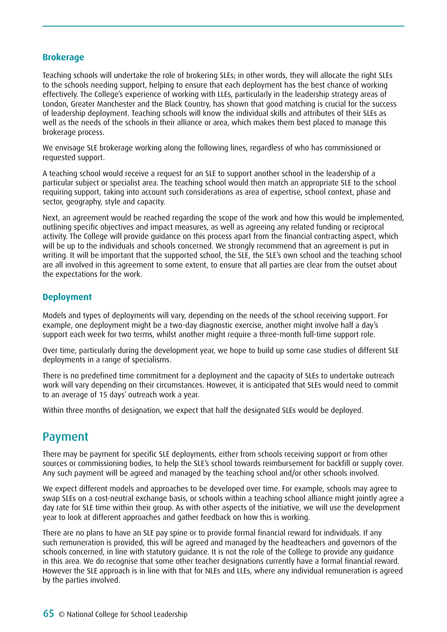### **Brokerage**

Teaching schools will undertake the role of brokering SLEs; in other words, they will allocate the right SLEs to the schools needing support, helping to ensure that each deployment has the best chance of working effectively. The College's experience of working with LLEs, particularly in the leadership strategy areas of London, Greater Manchester and the Black Country, has shown that good matching is crucial for the success of leadership deployment. Teaching schools will know the individual skills and attributes of their SLEs as well as the needs of the schools in their alliance or area, which makes them best placed to manage this brokerage process.

We envisage SLE brokerage working along the following lines, regardless of who has commissioned or requested support.

A teaching school would receive a request for an SLE to support another school in the leadership of a particular subject or specialist area. The teaching school would then match an appropriate SLE to the school requiring support, taking into account such considerations as area of expertise, school context, phase and sector, geography, style and capacity.

Next, an agreement would be reached regarding the scope of the work and how this would be implemented, outlining specific objectives and impact measures, as well as agreeing any related funding or reciprocal activity. The College will provide guidance on this process apart from the financial contracting aspect, which will be up to the individuals and schools concerned. We strongly recommend that an agreement is put in writing. It will be important that the supported school, the SLE, the SLE's own school and the teaching school are all involved in this agreement to some extent, to ensure that all parties are clear from the outset about the expectations for the work.

### **Deployment**

Models and types of deployments will vary, depending on the needs of the school receiving support. For example, one deployment might be a two-day diagnostic exercise, another might involve half a day's support each week for two terms, whilst another might require a three-month full-time support role.

Over time, particularly during the development year, we hope to build up some case studies of different SLE deployments in a range of specialisms.

There is no predefined time commitment for a deployment and the capacity of SLEs to undertake outreach work will vary depending on their circumstances. However, it is anticipated that SLEs would need to commit to an average of 15 days' outreach work a year.

Within three months of designation, we expect that half the designated SLEs would be deployed.

## Payment

There may be payment for specific SLE deployments, either from schools receiving support or from other sources or commissioning bodies, to help the SLE's school towards reimbursement for backfill or supply cover. Any such payment will be agreed and managed by the teaching school and/or other schools involved.

We expect different models and approaches to be developed over time. For example, schools may agree to swap SLEs on a cost-neutral exchange basis, or schools within a teaching school alliance might jointly agree a day rate for SLE time within their group. As with other aspects of the initiative, we will use the development year to look at different approaches and gather feedback on how this is working.

There are no plans to have an SLE pay spine or to provide formal financial reward for individuals. If any such remuneration is provided, this will be agreed and managed by the headteachers and governors of the schools concerned, in line with statutory guidance. It is not the role of the College to provide any guidance in this area. We do recognise that some other teacher designations currently have a formal financial reward. However the SLE approach is in line with that for NLEs and LLEs, where any individual remuneration is agreed by the parties involved.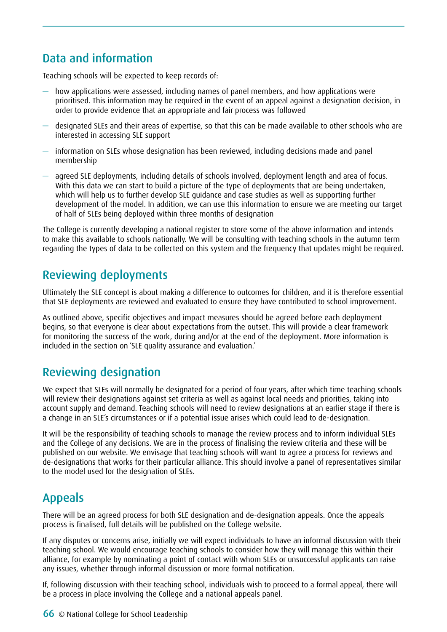# Data and information

Teaching schools will be expected to keep records of:

- how applications were assessed, including names of panel members, and how applications were prioritised. This information may be required in the event of an appeal against a designation decision, in order to provide evidence that an appropriate and fair process was followed
- designated SLEs and their areas of expertise, so that this can be made available to other schools who are interested in accessing SLE support
- information on SLEs whose designation has been reviewed, including decisions made and panel membership
- agreed SLE deployments, including details of schools involved, deployment length and area of focus. With this data we can start to build a picture of the type of deployments that are being undertaken, which will help us to further develop SLE quidance and case studies as well as supporting further development of the model. In addition, we can use this information to ensure we are meeting our target of half of SLEs being deployed within three months of designation

The College is currently developing a national register to store some of the above information and intends to make this available to schools nationally. We will be consulting with teaching schools in the autumn term regarding the types of data to be collected on this system and the frequency that updates might be required.

## Reviewing deployments

Ultimately the SLE concept is about making a difference to outcomes for children, and it is therefore essential that SLE deployments are reviewed and evaluated to ensure they have contributed to school improvement.

As outlined above, specific objectives and impact measures should be agreed before each deployment begins, so that everyone is clear about expectations from the outset. This will provide a clear framework for monitoring the success of the work, during and/or at the end of the deployment. More information is included in the section on 'SLE quality assurance and evaluation.'

## Reviewing designation

We expect that SLEs will normally be designated for a period of four years, after which time teaching schools will review their designations against set criteria as well as against local needs and priorities, taking into account supply and demand. Teaching schools will need to review designations at an earlier stage if there is a change in an SLE's circumstances or if a potential issue arises which could lead to de-designation.

It will be the responsibility of teaching schools to manage the review process and to inform individual SLEs and the College of any decisions. We are in the process of finalising the review criteria and these will be published on our website. We envisage that teaching schools will want to agree a process for reviews and de-designations that works for their particular alliance. This should involve a panel of representatives similar to the model used for the designation of SLEs.

## Appeals

There will be an agreed process for both SLE designation and de-designation appeals. Once the appeals process is finalised, full details will be published on the College website.

If any disputes or concerns arise, initially we will expect individuals to have an informal discussion with their teaching school. We would encourage teaching schools to consider how they will manage this within their alliance, for example by nominating a point of contact with whom SLEs or unsuccessful applicants can raise any issues, whether through informal discussion or more formal notification.

If, following discussion with their teaching school, individuals wish to proceed to a formal appeal, there will be a process in place involving the College and a national appeals panel.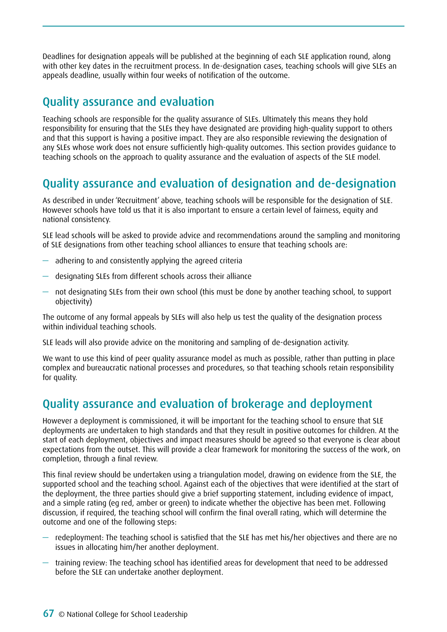Deadlines for designation appeals will be published at the beginning of each SLE application round, along with other key dates in the recruitment process. In de-designation cases, teaching schools will give SLEs an appeals deadline, usually within four weeks of notification of the outcome.

## Quality assurance and evaluation

Teaching schools are responsible for the quality assurance of SLEs. Ultimately this means they hold responsibility for ensuring that the SLEs they have designated are providing high-quality support to others and that this support is having a positive impact. They are also responsible reviewing the designation of any SLEs whose work does not ensure sufficiently high-quality outcomes. This section provides guidance to teaching schools on the approach to quality assurance and the evaluation of aspects of the SLE model.

## Quality assurance and evaluation of designation and de-designation

As described in under 'Recruitment' above, teaching schools will be responsible for the designation of SLE. However schools have told us that it is also important to ensure a certain level of fairness, equity and national consistency.

SLE lead schools will be asked to provide advice and recommendations around the sampling and monitoring of SLE designations from other teaching school alliances to ensure that teaching schools are:

- adhering to and consistently applying the agreed criteria
- designating SLEs from different schools across their alliance
- not designating SLEs from their own school (this must be done by another teaching school, to support objectivity)

The outcome of any formal appeals by SLEs will also help us test the quality of the designation process within individual teaching schools.

SLE leads will also provide advice on the monitoring and sampling of de-designation activity.

We want to use this kind of peer quality assurance model as much as possible, rather than putting in place complex and bureaucratic national processes and procedures, so that teaching schools retain responsibility for quality.

## Quality assurance and evaluation of brokerage and deployment

However a deployment is commissioned, it will be important for the teaching school to ensure that SLE deployments are undertaken to high standards and that they result in positive outcomes for children. At the start of each deployment, objectives and impact measures should be agreed so that everyone is clear about expectations from the outset. This will provide a clear framework for monitoring the success of the work, on completion, through a final review.

This final review should be undertaken using a triangulation model, drawing on evidence from the SLE, the supported school and the teaching school. Against each of the objectives that were identified at the start of the deployment, the three parties should give a brief supporting statement, including evidence of impact, and a simple rating (eg red, amber or green) to indicate whether the objective has been met. Following discussion, if required, the teaching school will confirm the final overall rating, which will determine the outcome and one of the following steps:

- redeployment: The teaching school is satisfied that the SLE has met his/her objectives and there are no issues in allocating him/her another deployment.
- training review: The teaching school has identified areas for development that need to be addressed before the SLE can undertake another deployment.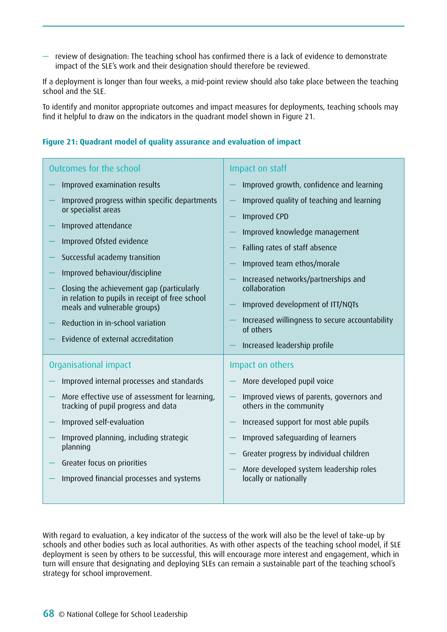$-$  review of designation: The teaching school has confirmed there is a lack of evidence to demonstrate impact of the SLE's work and their designation should therefore be reviewed.

If a deployment is longer than four weeks, a mid-point review should also take place between the teaching school and the SLE.

To identify and monitor appropriate outcomes and impact measures for deployments, teaching schools may find it helpful to draw on the indicators in the quadrant model shown in Figure 21.

#### Outcomes for the school — Improved examination results — Improved progress within specific departments or specialist areas — Improved attendance — Improved Ofsted evidence — Successful academy transition — Improved behaviour/discipline — Closing the achievement gap (particularly in relation to pupils in receipt of free school meals and vulnerable groups) — Reduction in in-school variation — Evidence of external accreditation Impact on staff — Improved growth, confidence and learning Improved quality of teaching and learning — Improved CPD — Improved knowledge management — Falling rates of staff absence — Improved team ethos/morale — Increased networks/partnerships and collaboration — Improved development of ITT/NQTs — Increased willingness to secure accountability of others — Increased leadership profile Organisational impact — Improved internal processes and standards — More effective use of assessment for learning, tracking of pupil progress and data — Improved self-evaluation — Improved planning, including strategic planning — Greater focus on priorities — Improved financial processes and systems Impact on others — More developed pupil voice — Improved views of parents, governors and others in the community — Increased support for most able pupils — Improved safeguarding of learners — Greater progress by individual children — More developed system leadership roles locally or nationally

### **Figure 21: Quadrant model of quality assurance and evaluation of impact**

With regard to evaluation, a key indicator of the success of the work will also be the level of take-up by schools and other bodies such as local authorities. As with other aspects of the teaching school model, if SLE deployment is seen by others to be successful, this will encourage more interest and engagement, which in turn will ensure that designating and deploying SLEs can remain a sustainable part of the teaching school's strategy for school improvement.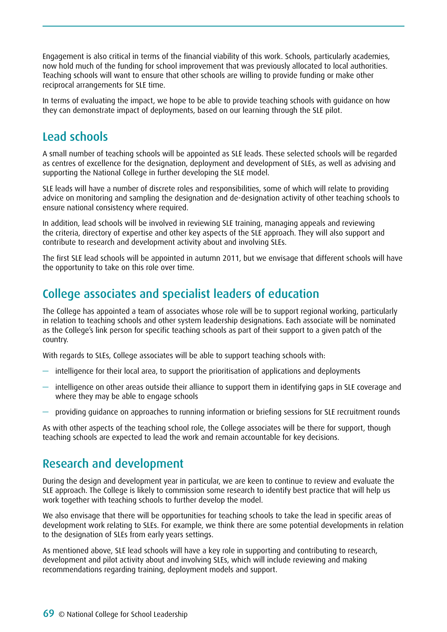Engagement is also critical in terms of the financial viability of this work. Schools, particularly academies, now hold much of the funding for school improvement that was previously allocated to local authorities. Teaching schools will want to ensure that other schools are willing to provide funding or make other reciprocal arrangements for SLE time.

In terms of evaluating the impact, we hope to be able to provide teaching schools with guidance on how they can demonstrate impact of deployments, based on our learning through the SLE pilot.

## Lead schools

A small number of teaching schools will be appointed as SLE leads. These selected schools will be regarded as centres of excellence for the designation, deployment and development of SLEs, as well as advising and supporting the National College in further developing the SLE model.

SLE leads will have a number of discrete roles and responsibilities, some of which will relate to providing advice on monitoring and sampling the designation and de-designation activity of other teaching schools to ensure national consistency where required.

In addition, lead schools will be involved in reviewing SLE training, managing appeals and reviewing the criteria, directory of expertise and other key aspects of the SLE approach. They will also support and contribute to research and development activity about and involving SLEs.

The first SLE lead schools will be appointed in autumn 2011, but we envisage that different schools will have the opportunity to take on this role over time.

## College associates and specialist leaders of education

The College has appointed a team of associates whose role will be to support regional working, particularly in relation to teaching schools and other system leadership designations. Each associate will be nominated as the College's link person for specific teaching schools as part of their support to a given patch of the country.

With regards to SLEs, College associates will be able to support teaching schools with:

- intelligence for their local area, to support the prioritisation of applications and deployments
- intelligence on other areas outside their alliance to support them in identifying gaps in SLE coverage and where they may be able to engage schools
- providing guidance on approaches to running information or briefing sessions for SLE recruitment rounds

As with other aspects of the teaching school role, the College associates will be there for support, though teaching schools are expected to lead the work and remain accountable for key decisions.

## Research and development

During the design and development year in particular, we are keen to continue to review and evaluate the SLE approach. The College is likely to commission some research to identify best practice that will help us work together with teaching schools to further develop the model.

We also envisage that there will be opportunities for teaching schools to take the lead in specific areas of development work relating to SLEs. For example, we think there are some potential developments in relation to the designation of SLEs from early years settings.

As mentioned above, SLE lead schools will have a key role in supporting and contributing to research, development and pilot activity about and involving SLEs, which will include reviewing and making recommendations regarding training, deployment models and support.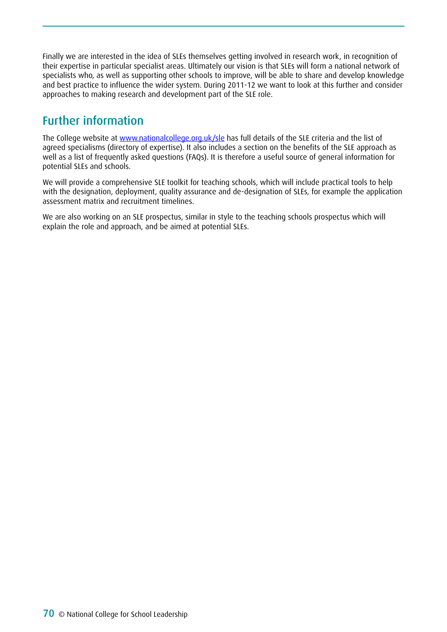Finally we are interested in the idea of SLEs themselves getting involved in research work, in recognition of their expertise in particular specialist areas. Ultimately our vision is that SLEs will form a national network of specialists who, as well as supporting other schools to improve, will be able to share and develop knowledge and best practice to influence the wider system. During 2011-12 we want to look at this further and consider approaches to making research and development part of the SLE role.

# Further information

The College website at [www.nationalcollege.org.uk/sle](http://www.nationalcollege.org.uk/sle) has full details of the SLE criteria and the list of agreed specialisms (directory of expertise). It also includes a section on the benefits of the SLE approach as well as a list of frequently asked questions (FAQs). It is therefore a useful source of general information for potential SLEs and schools.

We will provide a comprehensive SLE toolkit for teaching schools, which will include practical tools to help with the designation, deployment, quality assurance and de-designation of SLEs, for example the application assessment matrix and recruitment timelines.

We are also working on an SLE prospectus, similar in style to the teaching schools prospectus which will explain the role and approach, and be aimed at potential SLEs.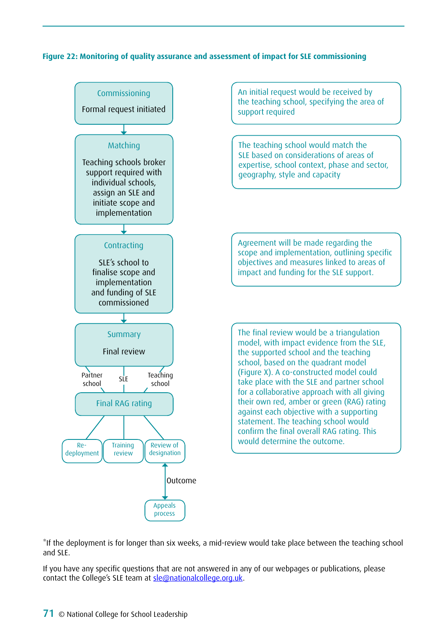### **Figure 22: Monitoring of quality assurance and assessment of impact for SLE commissioning**



\*If the deployment is for longer than six weeks, a mid-review would take place between the teaching school and SLE.

If you have any specific questions that are not answered in any of our webpages or publications, please contact the College's SLE team at [sle@nationalcollege.org.uk](mailto:sle@nationalcollege.org.uk).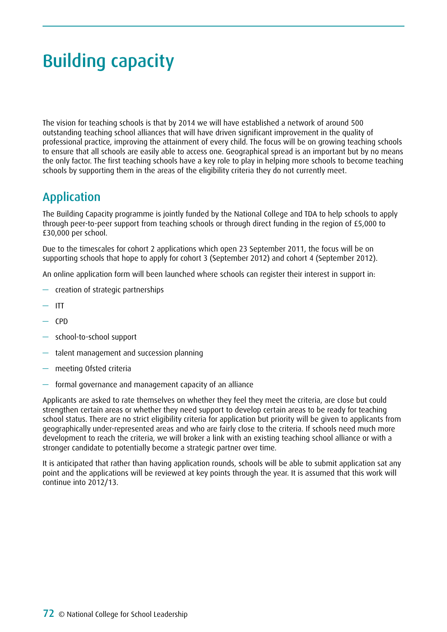# Building capacity

The vision for teaching schools is that by 2014 we will have established a network of around 500 outstanding teaching school alliances that will have driven significant improvement in the quality of professional practice, improving the attainment of every child. The focus will be on growing teaching schools to ensure that all schools are easily able to access one. Geographical spread is an important but by no means the only factor. The first teaching schools have a key role to play in helping more schools to become teaching schools by supporting them in the areas of the eligibility criteria they do not currently meet.

## Application

The Building Capacity programme is jointly funded by the National College and TDA to help schools to apply through peer-to-peer support from teaching schools or through direct funding in the region of £5,000 to £30,000 per school.

Due to the timescales for cohort 2 applications which open 23 September 2011, the focus will be on supporting schools that hope to apply for cohort 3 (September 2012) and cohort 4 (September 2012).

An online application form will been launched where schools can register their interest in support in:

- creation of strategic partnerships
- $-$  ITT
- $-$  CPD
- school-to-school support
- talent management and succession planning
- meeting Ofsted criteria
- formal governance and management capacity of an alliance

Applicants are asked to rate themselves on whether they feel they meet the criteria, are close but could strengthen certain areas or whether they need support to develop certain areas to be ready for teaching school status. There are no strict eligibility criteria for application but priority will be given to applicants from geographically under-represented areas and who are fairly close to the criteria. If schools need much more development to reach the criteria, we will broker a link with an existing teaching school alliance or with a stronger candidate to potentially become a strategic partner over time.

It is anticipated that rather than having application rounds, schools will be able to submit application sat any point and the applications will be reviewed at key points through the year. It is assumed that this work will continue into 2012/13.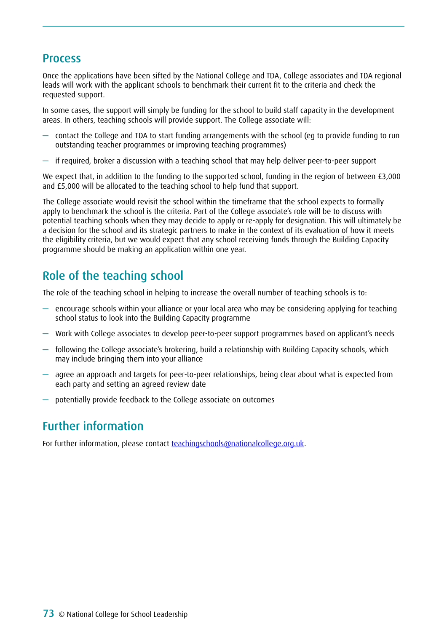### Process

Once the applications have been sifted by the National College and TDA, College associates and TDA regional leads will work with the applicant schools to benchmark their current fit to the criteria and check the requested support.

In some cases, the support will simply be funding for the school to build staff capacity in the development areas. In others, teaching schools will provide support. The College associate will:

- contact the College and TDA to start funding arrangements with the school (eg to provide funding to run outstanding teacher programmes or improving teaching programmes)
- if required, broker a discussion with a teaching school that may help deliver peer-to-peer support

We expect that, in addition to the funding to the supported school, funding in the region of between £3,000 and £5,000 will be allocated to the teaching school to help fund that support.

The College associate would revisit the school within the timeframe that the school expects to formally apply to benchmark the school is the criteria. Part of the College associate's role will be to discuss with potential teaching schools when they may decide to apply or re-apply for designation. This will ultimately be a decision for the school and its strategic partners to make in the context of its evaluation of how it meets the eligibility criteria, but we would expect that any school receiving funds through the Building Capacity programme should be making an application within one year.

## Role of the teaching school

The role of the teaching school in helping to increase the overall number of teaching schools is to:

- $-$  encourage schools within your alliance or your local area who may be considering applying for teaching school status to look into the Building Capacity programme
- Work with College associates to develop peer-to-peer support programmes based on applicant's needs
- following the College associate's brokering, build a relationship with Building Capacity schools, which may include bringing them into your alliance
- agree an approach and targets for peer-to-peer relationships, being clear about what is expected from each party and setting an agreed review date
- potentially provide feedback to the College associate on outcomes

## Further information

For further information, please contact [teachingschools@nationalcollege.org.uk](mailto:teachingschools@nationalcollege.org.uk).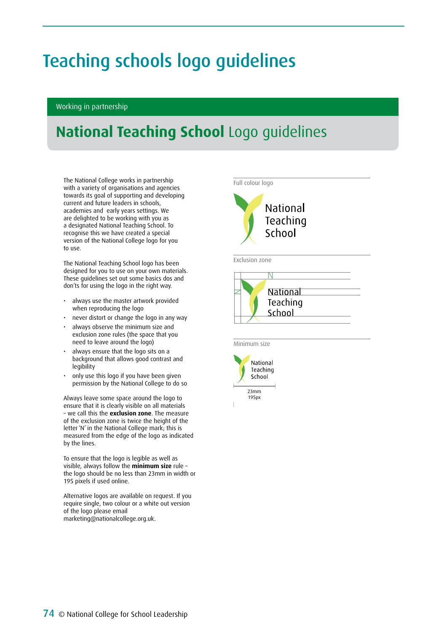# Teaching schools logo guidelines

#### Working in partnership

## **National Teaching School** Logo guidelines

The National College works in partnership with a variety of organisations and agencies towards its goal of supporting and developing current and future leaders in schools, academies and early years settings. We are delighted to be working with you as a designated National Teaching School. To recognise this we have created a special version of the National College logo for you to use.

The National Teaching School logo has been designed for you to use on your own materials. These guidelines set out some basics dos and don'ts for using the logo in the right way.

- always use the master artwork provided when reproducing the logo
- never distort or change the logo in any way
- always observe the minimum size and exclusion zone rules (the space that you need to leave around the logo)
- always ensure that the logo sits on a background that allows good contrast and legibility
- only use this logo if you have been given permission by the National College to do so

Always leave some space around the logo to ensure that it is clearly visible on all materials – we call this the **exclusion zone**. The measure of the exclusion zone is twice the height of the letter 'N' in the National College mark; this is measured from the edge of the logo as indicated by the lines.

To ensure that the logo is legible as well as visible, always follow the **minimum size** rule – the logo should be no less than 23mm in width or 195 pixels if used online.

Alternative logos are available on request. If you require single, two colour or a white out version of the logo please email marketing@nationalcollege.org.uk.



Exclusion zone



Minimum size



195px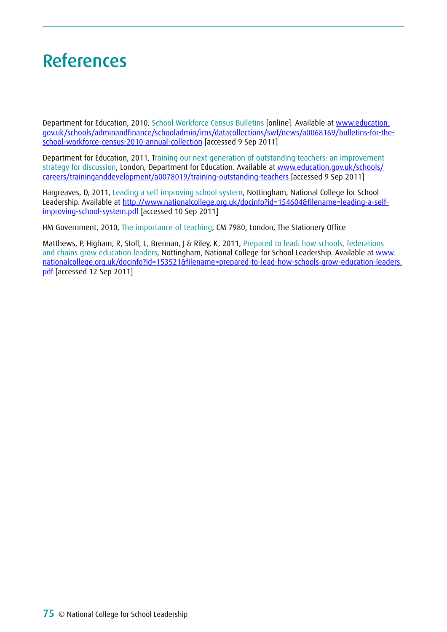# References

Department for Education, 2010, School Workforce Census Bulletins [online]. Available at www.education. gov.uk/schools/adminandfinance/schooladmin/ims/datacollections/swf/news/a0068169/bulletins-for-theschool-workforce-census-2010-annual-collection [accessed 9 Sep 2011]

Department for Education, 2011, Training our next generation of outstanding teachers: an improvement strategy for discussion, London, Department for Education. Available at www.education.gov.uk/schools/ careers/traininganddevelopment/a0078019/training-outstanding-teachers [accessed 9 Sep 2011]

Hargreaves, D, 2011, Leading a self improving school system, Nottingham, National College for School Leadership. Available at http://www.nationalcollege.org.uk/docinfo?id=154604&filename=leading-a-selfimproving-school-system.pdf [accessed 10 Sep 2011]

HM Government, 2010, The importance of teaching, CM 7980, London, The Stationery Office

Matthews, P, Higham, R, Stoll, L, Brennan, J & Riley, K, 2011, Prepared to lead: how schools, federations and chains grow education leaders, Nottingham, National College for School Leadership. Available at www. nationalcollege.org.uk/docinfo?id=153521&filename=prepared-to-lead-how-schools-grow-education-leaders. pdf [accessed 12 Sep 2011]